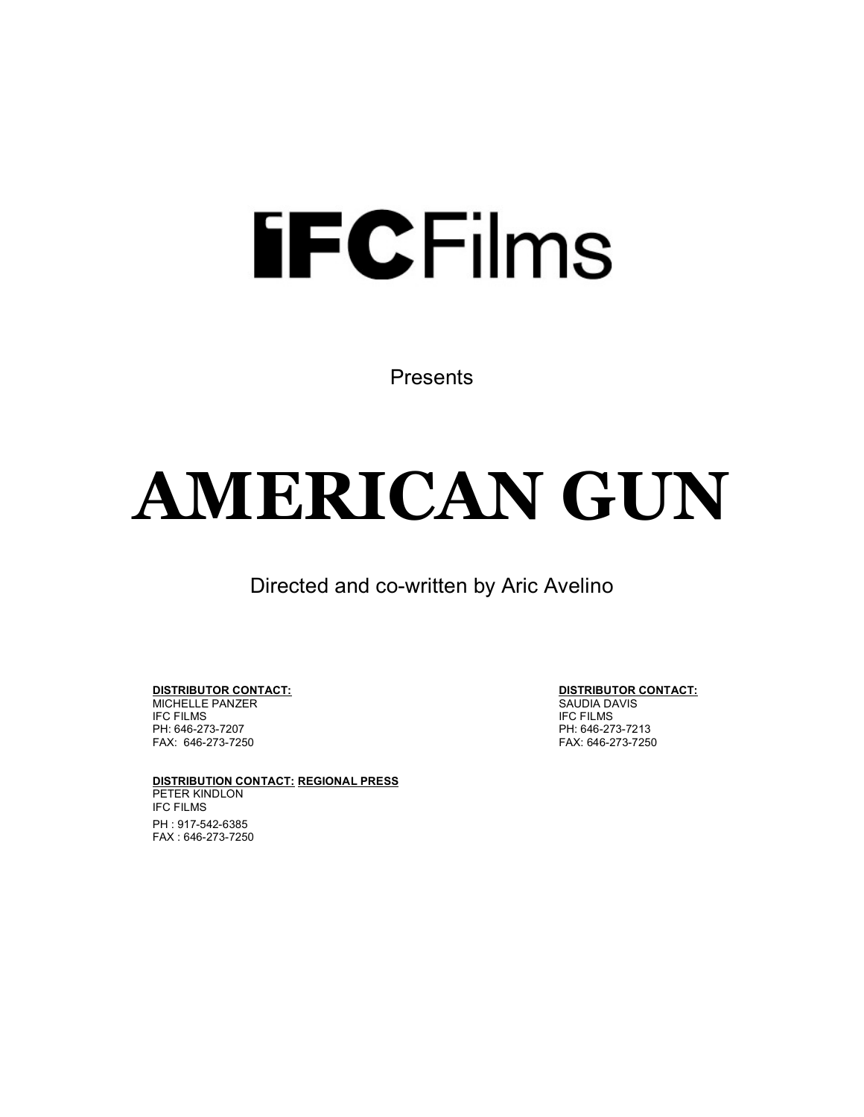# **FECFilms**

Presents

# **AMERICAN GUN**

Directed and co-written by Aric Avelino

**DISTRIBUTOR CONTACT: DISTRIBUTOR CONTACT:** MICHELLE PANZER<br>IFC FILMS FAX: 646-273-7250

**DISTRIBUTION CONTACT: REGIONAL PRESS** PETER KINDLON IFC FILMS PH : 917-542-6385 FAX : 646-273-7250

**IFC FILMS** PH: 646-273-7207 PH: 646-273-7213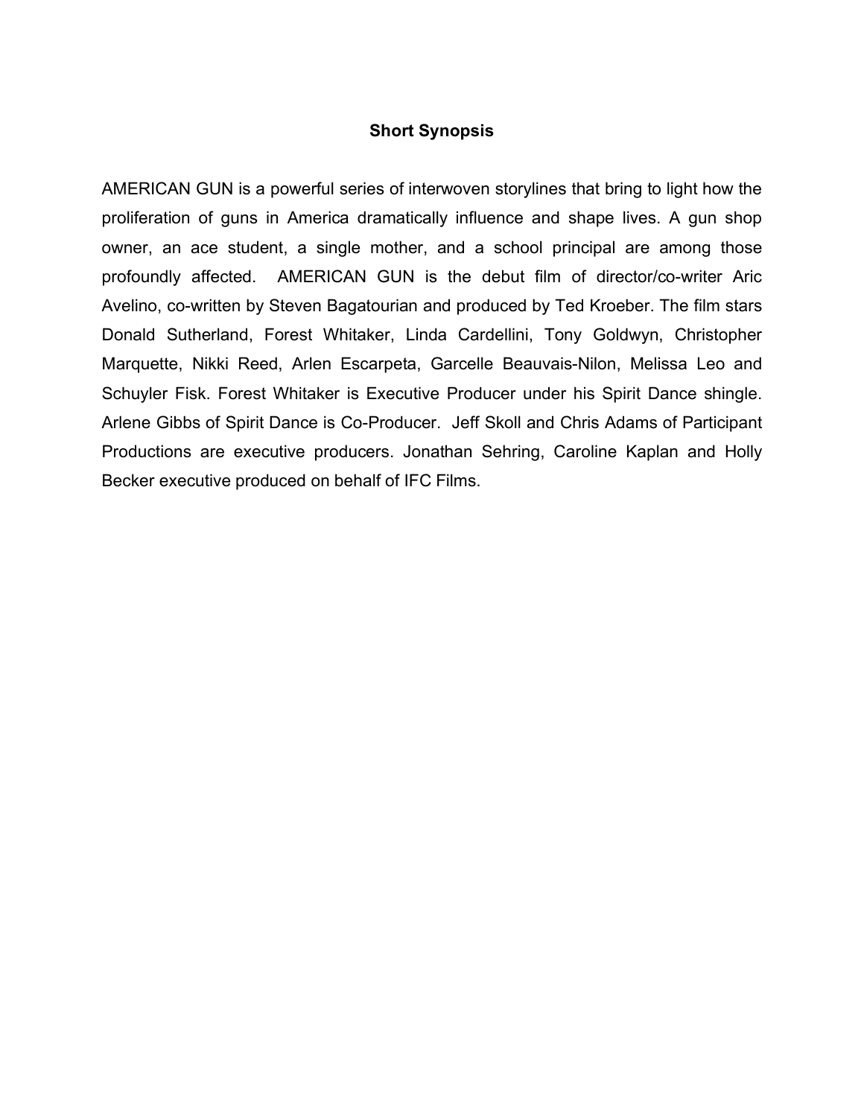#### **Short Synopsis**

AMERICAN GUN is a powerful series of interwoven storylines that bring to light how the proliferation of guns in America dramatically influence and shape lives. A gun shop owner, an ace student, a single mother, and a school principal are among those profoundly affected. AMERICAN GUN is the debut film of director/co-writer Aric Avelino, co-written by Steven Bagatourian and produced by Ted Kroeber. The film stars Donald Sutherland, Forest Whitaker, Linda Cardellini, Tony Goldwyn, Christopher Marquette, Nikki Reed, Arlen Escarpeta, Garcelle Beauvais-Nilon, Melissa Leo and Schuyler Fisk. Forest Whitaker is Executive Producer under his Spirit Dance shingle. Arlene Gibbs of Spirit Dance is Co-Producer. Jeff Skoll and Chris Adams of Participant Productions are executive producers. Jonathan Sehring, Caroline Kaplan and Holly Becker executive produced on behalf of IFC Films.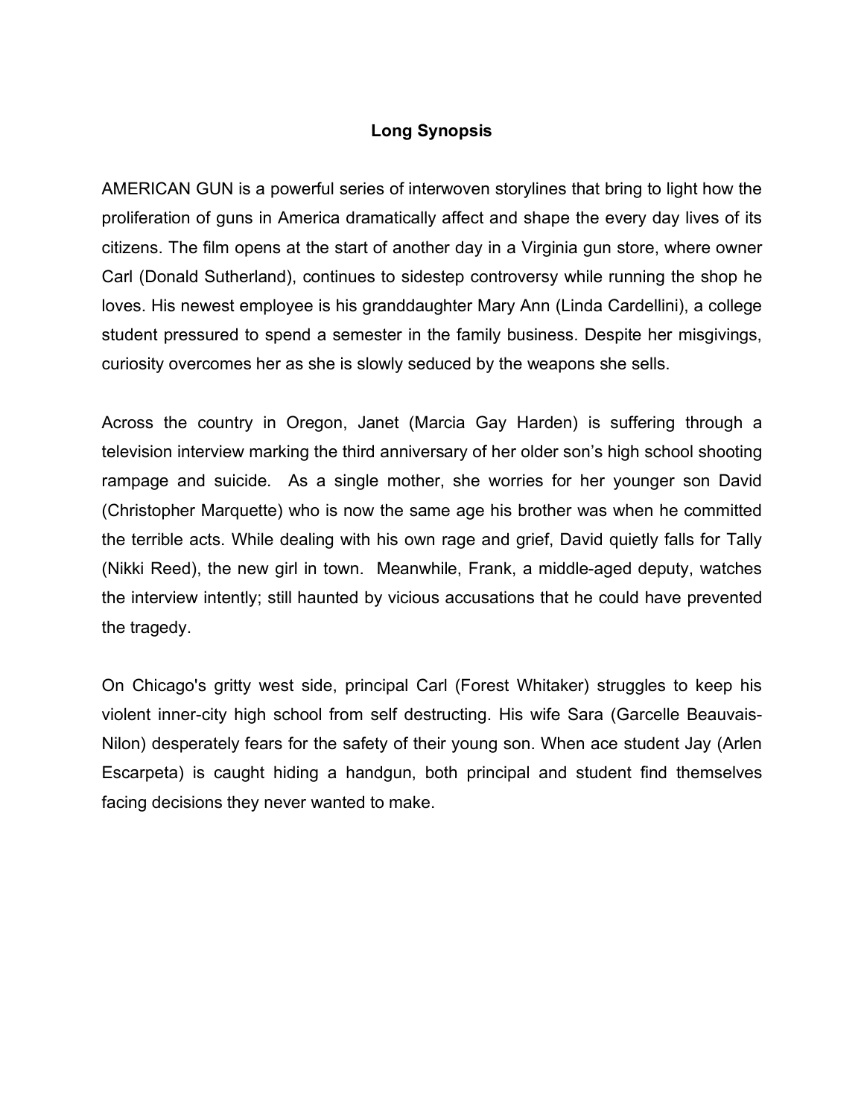# **Long Synopsis**

AMERICAN GUN is a powerful series of interwoven storylines that bring to light how the proliferation of guns in America dramatically affect and shape the every day lives of its citizens. The film opens at the start of another day in a Virginia gun store, where owner Carl (Donald Sutherland), continues to sidestep controversy while running the shop he loves. His newest employee is his granddaughter Mary Ann (Linda Cardellini), a college student pressured to spend a semester in the family business. Despite her misgivings, curiosity overcomes her as she is slowly seduced by the weapons she sells.

Across the country in Oregon, Janet (Marcia Gay Harden) is suffering through a television interview marking the third anniversary of her older son's high school shooting rampage and suicide. As a single mother, she worries for her younger son David (Christopher Marquette) who is now the same age his brother was when he committed the terrible acts. While dealing with his own rage and grief, David quietly falls for Tally (Nikki Reed), the new girl in town. Meanwhile, Frank, a middle-aged deputy, watches the interview intently; still haunted by vicious accusations that he could have prevented the tragedy.

On Chicago's gritty west side, principal Carl (Forest Whitaker) struggles to keep his violent inner-city high school from self destructing. His wife Sara (Garcelle Beauvais-Nilon) desperately fears for the safety of their young son. When ace student Jay (Arlen Escarpeta) is caught hiding a handgun, both principal and student find themselves facing decisions they never wanted to make.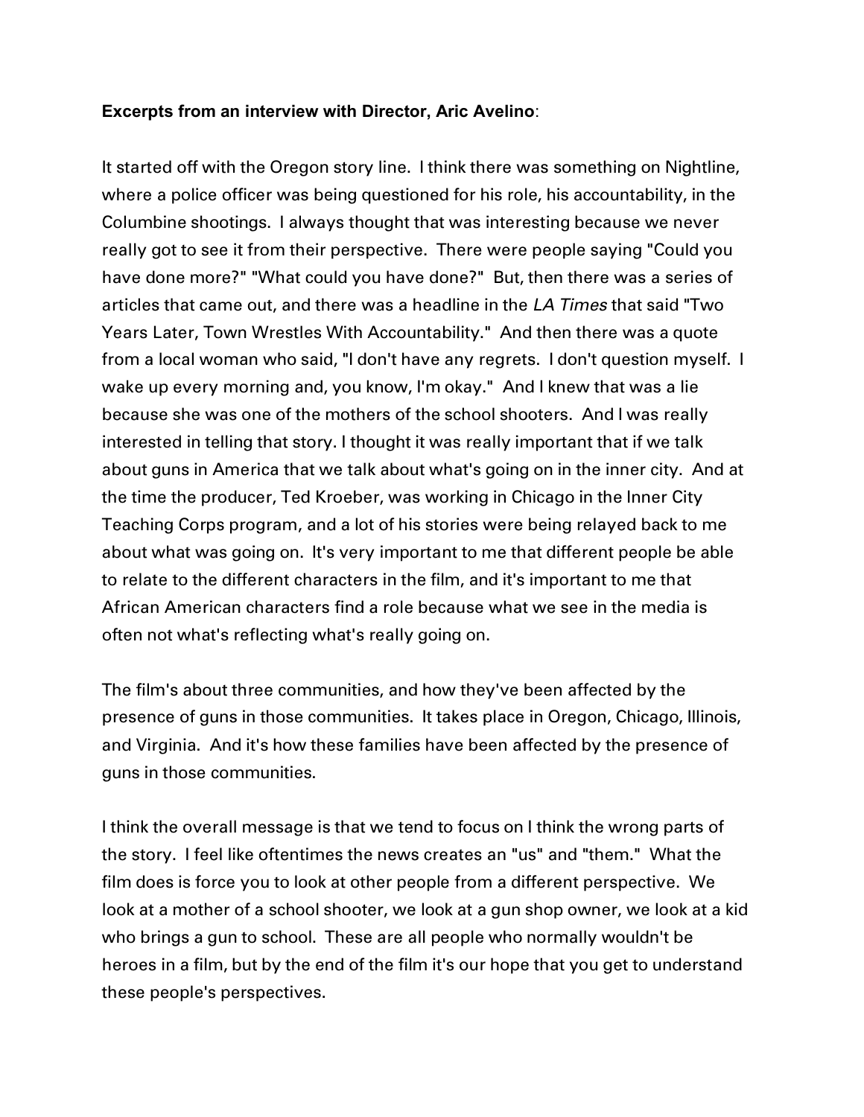#### **Excerpts from an interview with Director, Aric Avelino**:

It started off with the Oregon story line. I think there was something on Nightline, where a police officer was being questioned for his role, his accountability, in the Columbine shootings. I always thought that was interesting because we never really got to see it from their perspective. There were people saying "Could you have done more?" "What could you have done?" But, then there was a series of articles that came out, and there was a headline in the *LA Times* that said "Two Years Later, Town Wrestles With Accountability." And then there was a quote from a local woman who said, "I don't have any regrets. I don't question myself. I wake up every morning and, you know, I'm okay." And I knew that was a lie because she was one of the mothers of the school shooters. And I was really interested in telling that story. I thought it was really important that if we talk about guns in America that we talk about what's going on in the inner city. And at the time the producer, Ted Kroeber, was working in Chicago in the Inner City Teaching Corps program, and a lot of his stories were being relayed back to me about what was going on. It's very important to me that different people be able to relate to the different characters in the film, and it's important to me that African American characters find a role because what we see in the media is often not what's reflecting what's really going on.

The film's about three communities, and how they've been affected by the presence of guns in those communities. It takes place in Oregon, Chicago, Illinois, and Virginia. And it's how these families have been affected by the presence of guns in those communities.

I think the overall message is that we tend to focus on I think the wrong parts of the story. I feel like oftentimes the news creates an "us" and "them." What the film does is force you to look at other people from a different perspective. We look at a mother of a school shooter, we look at a gun shop owner, we look at a kid who brings a gun to school. These are all people who normally wouldn't be heroes in a film, but by the end of the film it's our hope that you get to understand these people's perspectives.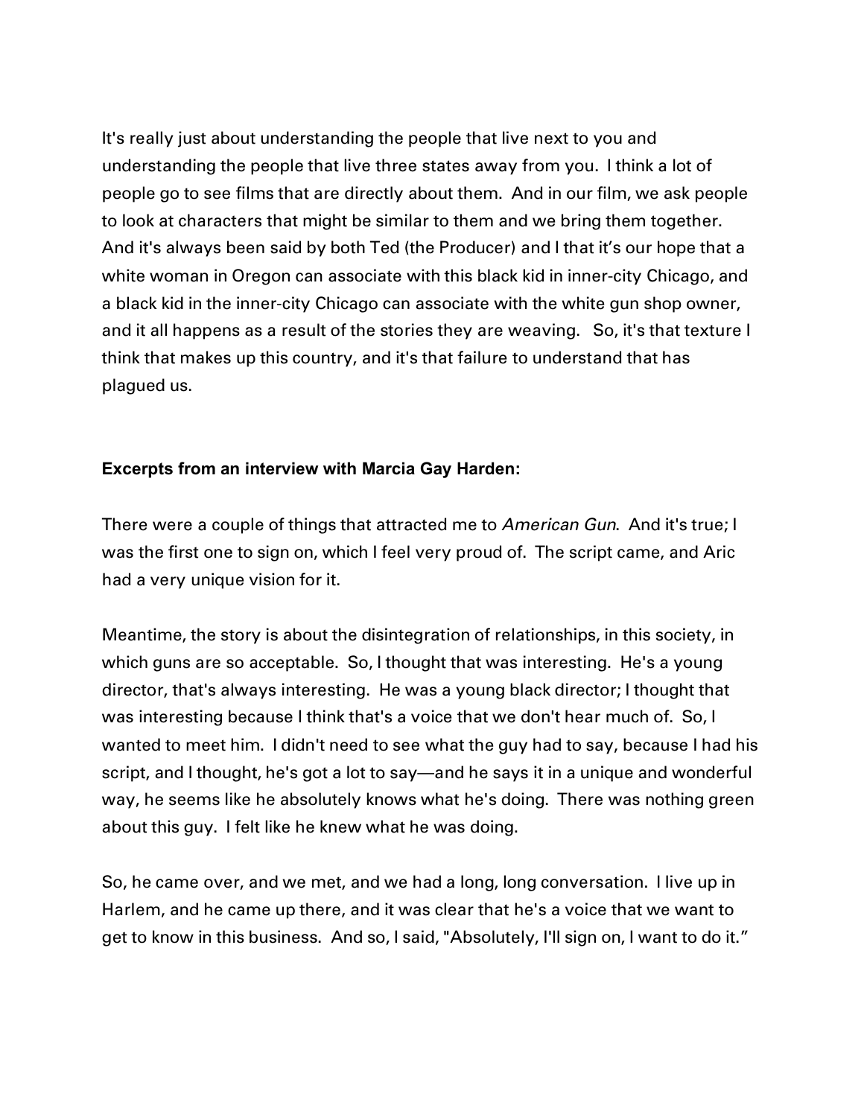It's really just about understanding the people that live next to you and understanding the people that live three states away from you. I think a lot of people go to see films that are directly about them. And in our film, we ask people to look at characters that might be similar to them and we bring them together. And it's always been said by both Ted (the Producer) and I that it's our hope that a white woman in Oregon can associate with this black kid in inner-city Chicago, and a black kid in the inner-city Chicago can associate with the white gun shop owner, and it all happens as a result of the stories they are weaving. So, it's that texture I think that makes up this country, and it's that failure to understand that has plagued us.

# **Excerpts from an interview with Marcia Gay Harden:**

There were a couple of things that attracted me to *American Gun*. And it's true; I was the first one to sign on, which I feel very proud of. The script came, and Aric had a very unique vision for it.

Meantime, the story is about the disintegration of relationships, in this society, in which guns are so acceptable. So, I thought that was interesting. He's a young director, that's always interesting. He was a young black director; I thought that was interesting because I think that's a voice that we don't hear much of. So, I wanted to meet him. I didn't need to see what the guy had to say, because I had his script, and I thought, he's got a lot to say—and he says it in a unique and wonderful way, he seems like he absolutely knows what he's doing. There was nothing green about this guy. I felt like he knew what he was doing.

So, he came over, and we met, and we had a long, long conversation. I live up in Harlem, and he came up there, and it was clear that he's a voice that we want to get to know in this business. And so, I said, "Absolutely, I'll sign on, I want to do it."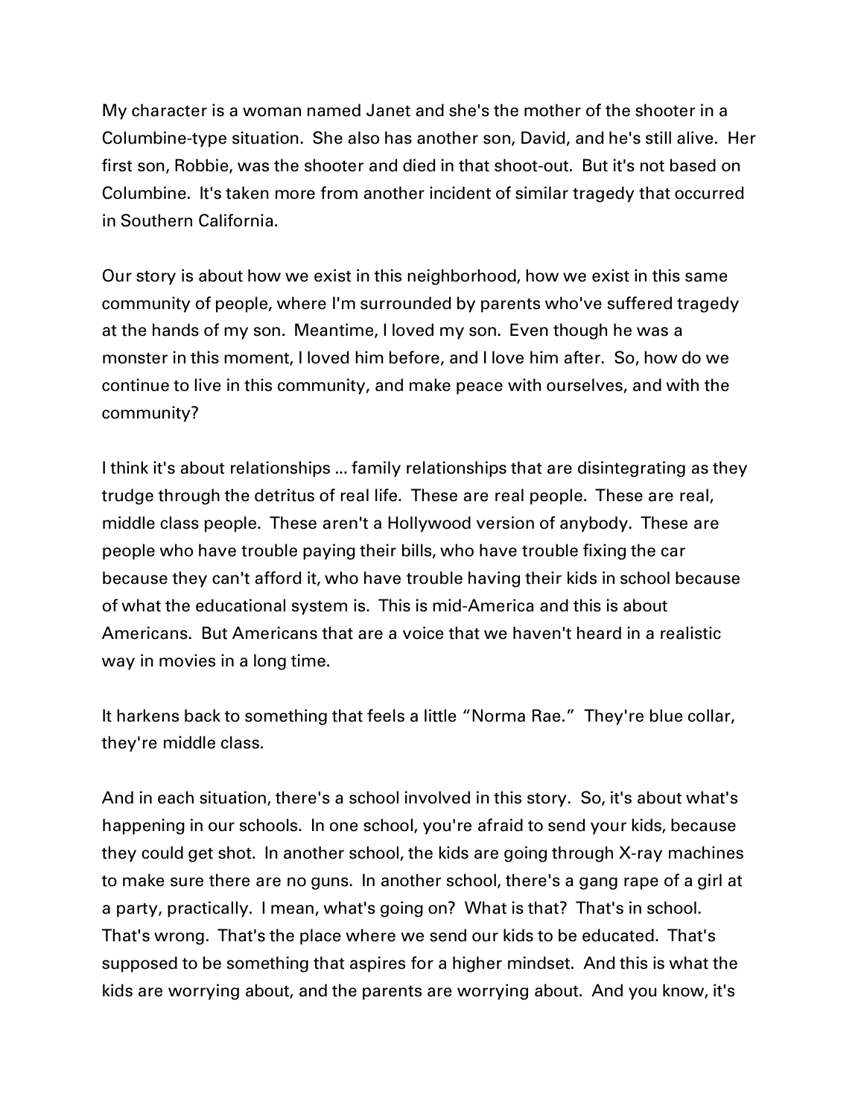My character is a woman named Janet and she's the mother of the shooter in a Columbine-type situation. She also has another son, David, and he's still alive. Her first son, Robbie, was the shooter and died in that shoot-out. But it's not based on Columbine. It's taken more from another incident of similar tragedy that occurred in Southern California.

Our story is about how we exist in this neighborhood, how we exist in this same community of people, where I'm surrounded by parents who've suffered tragedy at the hands of my son. Meantime, I loved my son. Even though he was a monster in this moment, I loved him before, and I love him after. So, how do we continue to live in this community, and make peace with ourselves, and with the community?

I think it's about relationships ... family relationships that are disintegrating as they trudge through the detritus of real life. These are real people. These are real, middle class people. These aren't a Hollywood version of anybody. These are people who have trouble paying their bills, who have trouble fixing the car because they can't afford it, who have trouble having their kids in school because of what the educational system is. This is mid-America and this is about Americans. But Americans that are a voice that we haven't heard in a realistic way in movies in a long time.

It harkens back to something that feels a little "Norma Rae." They're blue collar, they're middle class.

And in each situation, there's a school involved in this story. So, it's about what's happening in our schools. In one school, you're afraid to send your kids, because they could get shot. In another school, the kids are going through X-ray machines to make sure there are no guns. In another school, there's a gang rape of a girl at a party, practically. I mean, what's going on? What is that? That's in school. That's wrong. That's the place where we send our kids to be educated. That's supposed to be something that aspires for a higher mindset. And this is what the kids are worrying about, and the parents are worrying about. And you know, it's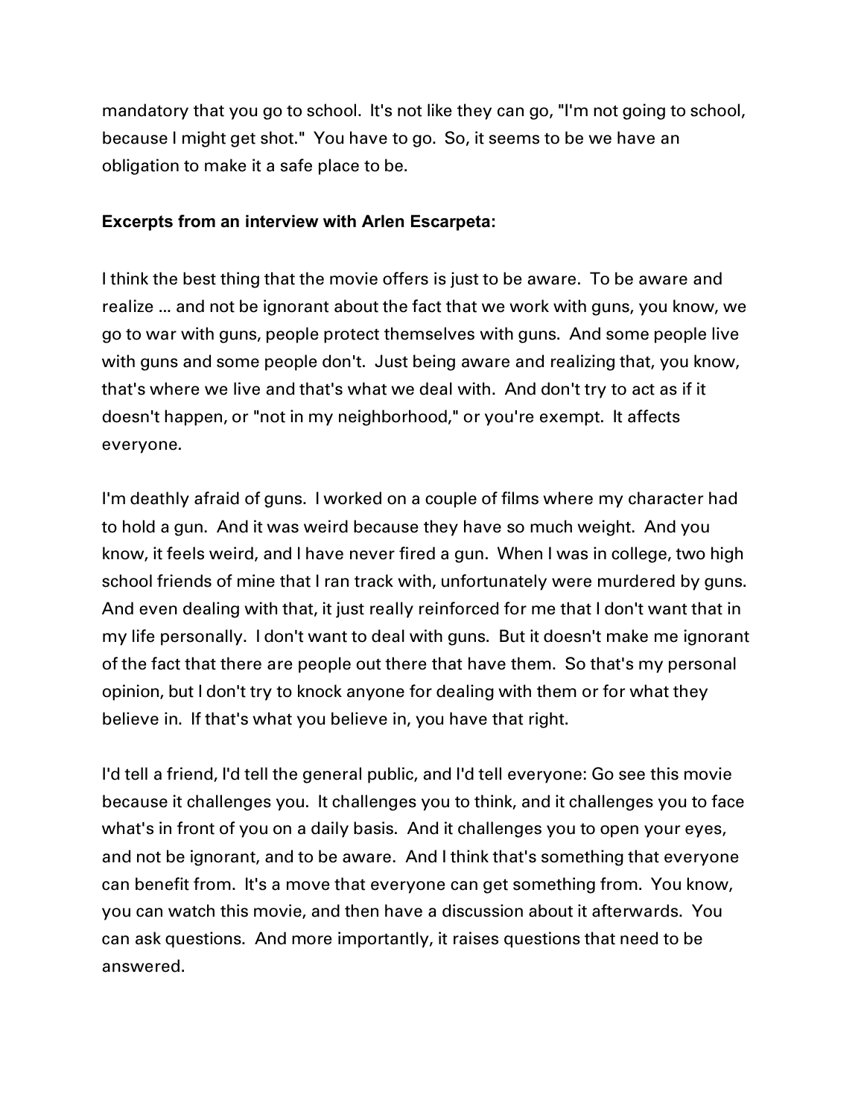mandatory that you go to school. It's not like they can go, "I'm not going to school, because I might get shot." You have to go. So, it seems to be we have an obligation to make it a safe place to be.

# **Excerpts from an interview with Arlen Escarpeta:**

I think the best thing that the movie offers is just to be aware. To be aware and realize ... and not be ignorant about the fact that we work with guns, you know, we go to war with guns, people protect themselves with guns. And some people live with guns and some people don't. Just being aware and realizing that, you know, that's where we live and that's what we deal with. And don't try to act as if it doesn't happen, or "not in my neighborhood," or you're exempt. It affects everyone.

I'm deathly afraid of guns. I worked on a couple of films where my character had to hold a gun. And it was weird because they have so much weight. And you know, it feels weird, and I have never fired a gun. When I was in college, two high school friends of mine that I ran track with, unfortunately were murdered by guns. And even dealing with that, it just really reinforced for me that I don't want that in my life personally. I don't want to deal with guns. But it doesn't make me ignorant of the fact that there are people out there that have them. So that's my personal opinion, but I don't try to knock anyone for dealing with them or for what they believe in. If that's what you believe in, you have that right.

I'd tell a friend, I'd tell the general public, and I'd tell everyone: Go see this movie because it challenges you. It challenges you to think, and it challenges you to face what's in front of you on a daily basis. And it challenges you to open your eyes, and not be ignorant, and to be aware. And I think that's something that everyone can benefit from. It's a move that everyone can get something from. You know, you can watch this movie, and then have a discussion about it afterwards. You can ask questions. And more importantly, it raises questions that need to be answered.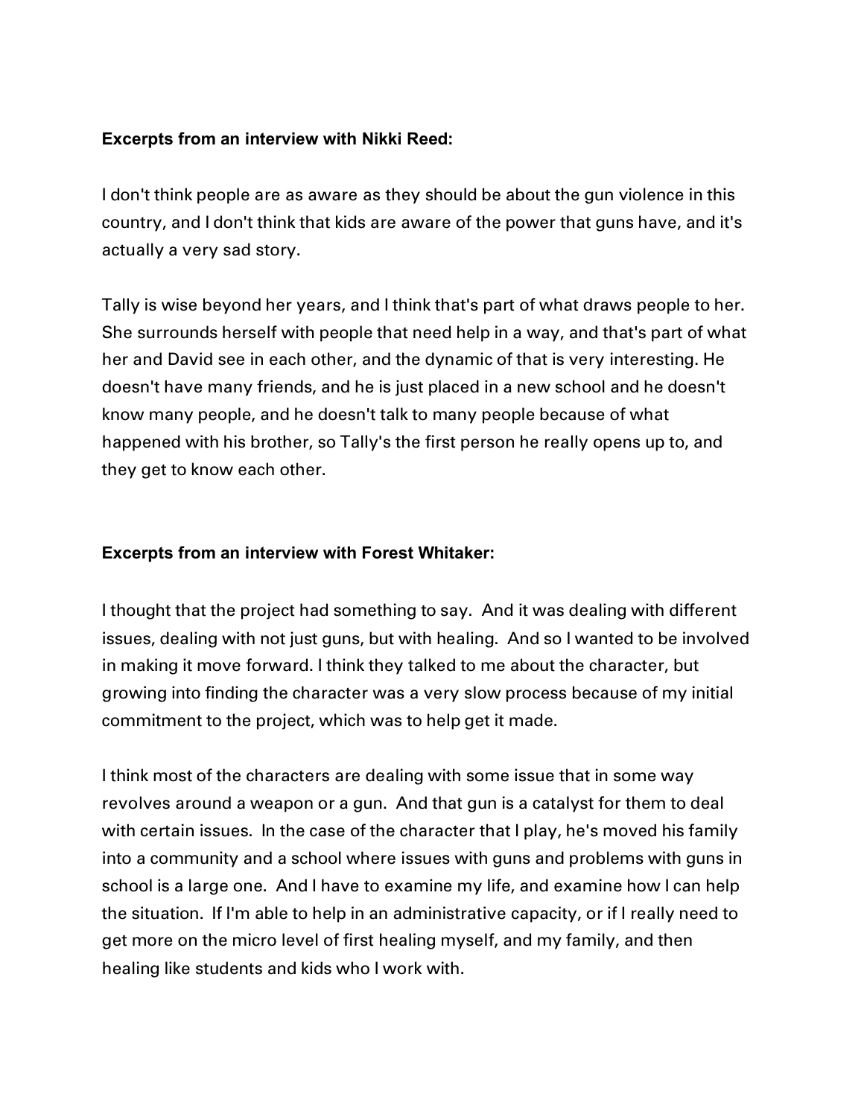# **Excerpts from an interview with Nikki Reed:**

I don't think people are as aware as they should be about the gun violence in this country, and I don't think that kids are aware of the power that guns have, and it's actually a very sad story.

Tally is wise beyond her years, and I think that's part of what draws people to her. She surrounds herself with people that need help in a way, and that's part of what her and David see in each other, and the dynamic of that is very interesting. He doesn't have many friends, and he is just placed in a new school and he doesn't know many people, and he doesn't talk to many people because of what happened with his brother, so Tally's the first person he really opens up to, and they get to know each other.

# **Excerpts from an interview with Forest Whitaker:**

I thought that the project had something to say. And it was dealing with different issues, dealing with not just guns, but with healing. And so I wanted to be involved in making it move forward. I think they talked to me about the character, but growing into finding the character was a very slow process because of my initial commitment to the project, which was to help get it made.

I think most of the characters are dealing with some issue that in some way revolves around a weapon or a gun. And that gun is a catalyst for them to deal with certain issues. In the case of the character that I play, he's moved his family into a community and a school where issues with guns and problems with guns in school is a large one. And I have to examine my life, and examine how I can help the situation. If I'm able to help in an administrative capacity, or if I really need to get more on the micro level of first healing myself, and my family, and then healing like students and kids who I work with.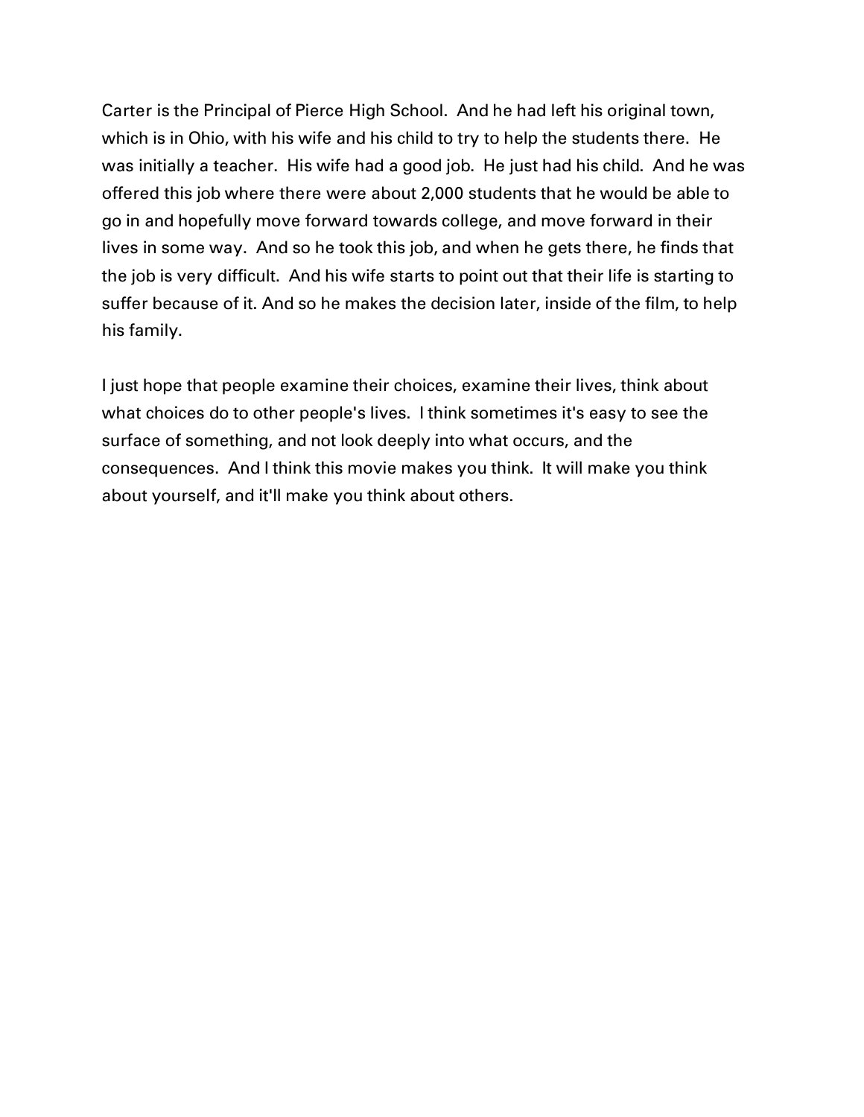Carter is the Principal of Pierce High School. And he had left his original town, which is in Ohio, with his wife and his child to try to help the students there. He was initially a teacher. His wife had a good job. He just had his child. And he was offered this job where there were about 2,000 students that he would be able to go in and hopefully move forward towards college, and move forward in their lives in some way. And so he took this job, and when he gets there, he finds that the job is very difficult. And his wife starts to point out that their life is starting to suffer because of it. And so he makes the decision later, inside of the film, to help his family.

I just hope that people examine their choices, examine their lives, think about what choices do to other people's lives. I think sometimes it's easy to see the surface of something, and not look deeply into what occurs, and the consequences. And I think this movie makes you think. It will make you think about yourself, and it'll make you think about others.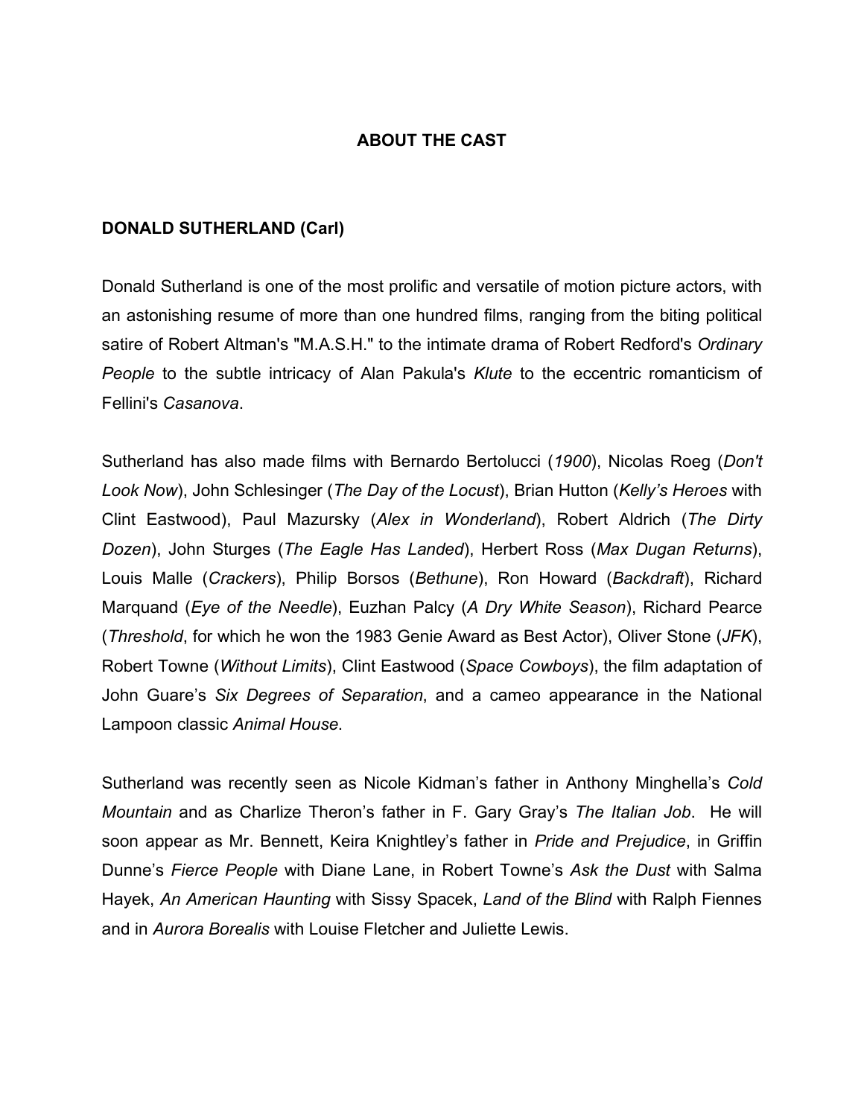#### **ABOUT THE CAST**

#### **DONALD SUTHERLAND (Carl)**

Donald Sutherland is one of the most prolific and versatile of motion picture actors, with an astonishing resume of more than one hundred films, ranging from the biting political satire of Robert Altman's "M.A.S.H." to the intimate drama of Robert Redford's *Ordinary People* to the subtle intricacy of Alan Pakula's *Klute* to the eccentric romanticism of Fellini's *Casanova*.

Sutherland has also made films with Bernardo Bertolucci (*1900*), Nicolas Roeg (*Don't Look Now*), John Schlesinger (*The Day of the Locust*), Brian Hutton (*Kelly's Heroes* with Clint Eastwood), Paul Mazursky (*Alex in Wonderland*), Robert Aldrich (*The Dirty Dozen*), John Sturges (*The Eagle Has Landed*), Herbert Ross (*Max Dugan Returns*), Louis Malle (*Crackers*), Philip Borsos (*Bethune*), Ron Howard (*Backdraft*), Richard Marquand (*Eye of the Needle*), Euzhan Palcy (*A Dry White Season*), Richard Pearce (*Threshold*, for which he won the 1983 Genie Award as Best Actor), Oliver Stone (*JFK*), Robert Towne (*Without Limits*), Clint Eastwood (*Space Cowboys*), the film adaptation of John Guare's *Six Degrees of Separation*, and a cameo appearance in the National Lampoon classic *Animal House*.

Sutherland was recently seen as Nicole Kidman's father in Anthony Minghella's *Cold Mountain* and as Charlize Theron's father in F. Gary Gray's *The Italian Job*. He will soon appear as Mr. Bennett, Keira Knightley's father in *Pride and Prejudice*, in Griffin Dunne's *Fierce People* with Diane Lane, in Robert Towne's *Ask the Dust* with Salma Hayek, *An American Haunting* with Sissy Spacek, *Land of the Blind* with Ralph Fiennes and in *Aurora Borealis* with Louise Fletcher and Juliette Lewis.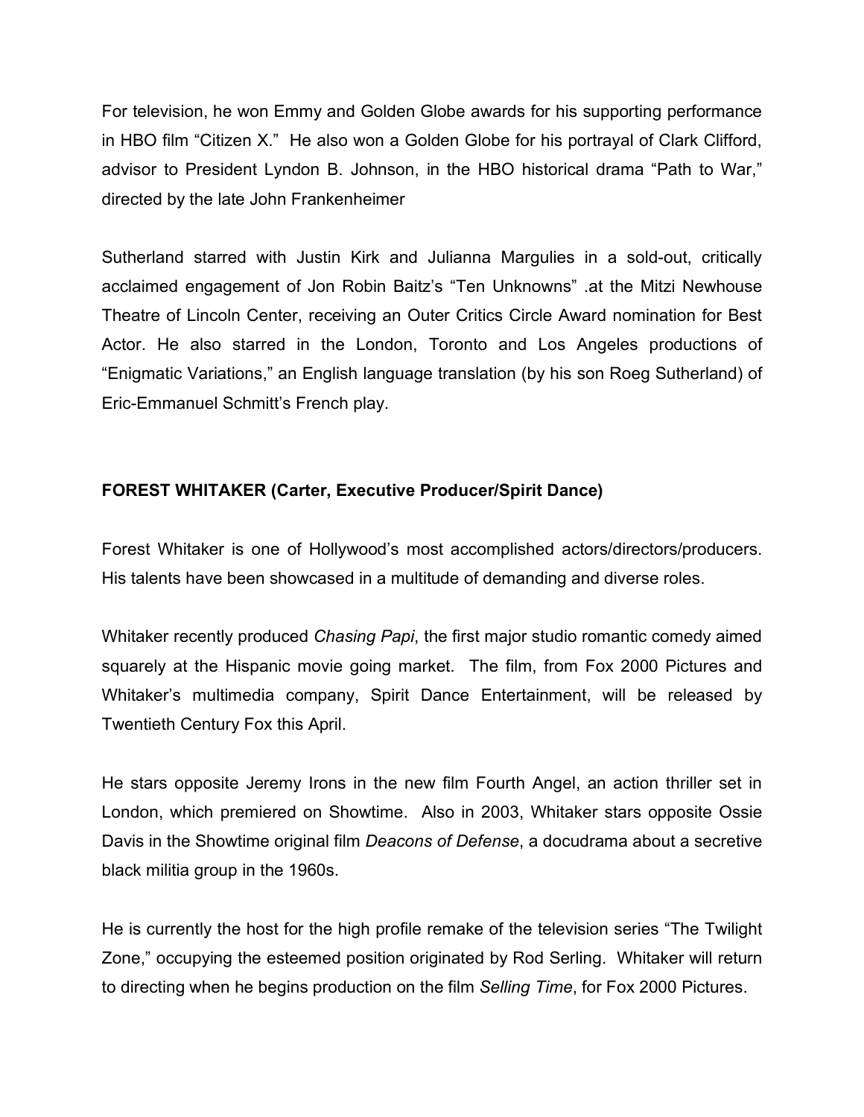For television, he won Emmy and Golden Globe awards for his supporting performance in HBO film "Citizen X." He also won a Golden Globe for his portrayal of Clark Clifford, advisor to President Lyndon B. Johnson, in the HBO historical drama "Path to War," directed by the late John Frankenheimer

Sutherland starred with Justin Kirk and Julianna Margulies in a sold-out, critically acclaimed engagement of Jon Robin Baitz's "Ten Unknowns" .at the Mitzi Newhouse Theatre of Lincoln Center, receiving an Outer Critics Circle Award nomination for Best Actor. He also starred in the London, Toronto and Los Angeles productions of "Enigmatic Variations," an English language translation (by his son Roeg Sutherland) of Eric-Emmanuel Schmitt's French play.

# **FOREST WHITAKER (Carter, Executive Producer/Spirit Dance)**

Forest Whitaker is one of Hollywood's most accomplished actors/directors/producers. His talents have been showcased in a multitude of demanding and diverse roles.

Whitaker recently produced *Chasing Papi*, the first major studio romantic comedy aimed squarely at the Hispanic movie going market. The film, from Fox 2000 Pictures and Whitaker's multimedia company, Spirit Dance Entertainment, will be released by Twentieth Century Fox this April.

He stars opposite Jeremy Irons in the new film Fourth Angel, an action thriller set in London, which premiered on Showtime. Also in 2003, Whitaker stars opposite Ossie Davis in the Showtime original film *Deacons of Defense*, a docudrama about a secretive black militia group in the 1960s.

He is currently the host for the high profile remake of the television series "The Twilight Zone," occupying the esteemed position originated by Rod Serling. Whitaker will return to directing when he begins production on the film *Selling Time*, for Fox 2000 Pictures.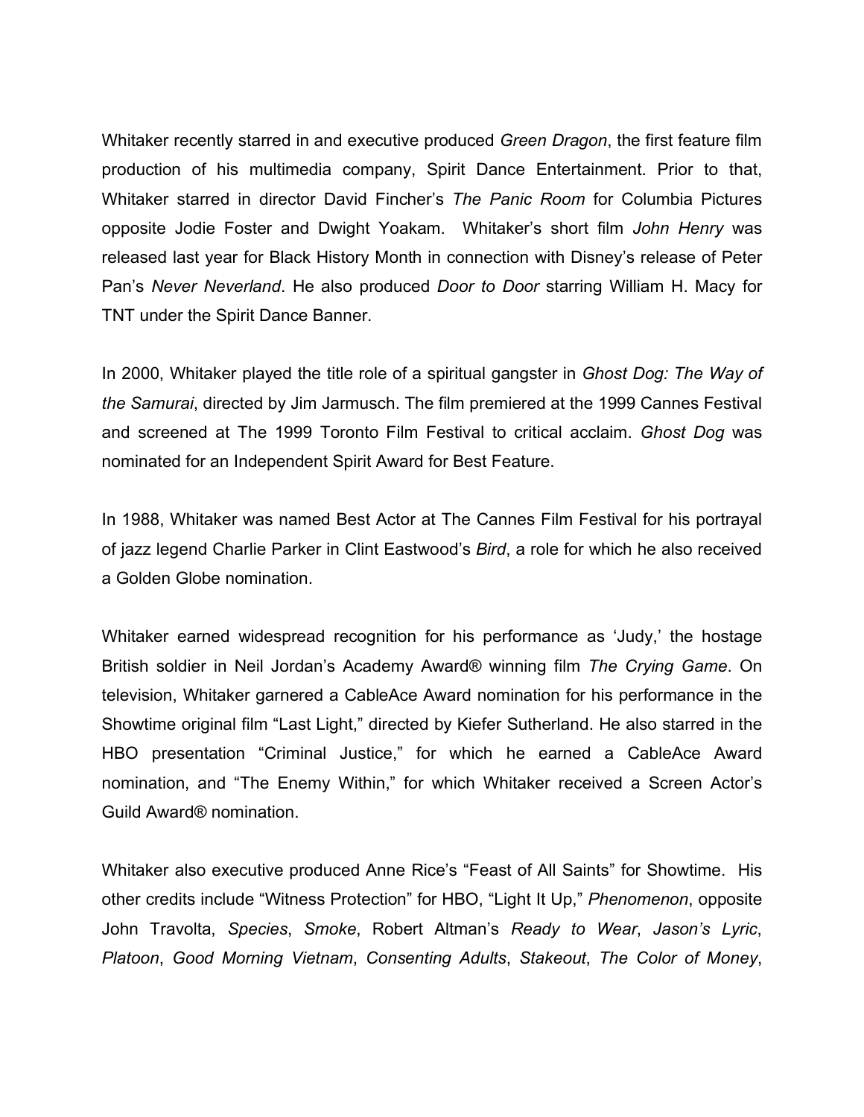Whitaker recently starred in and executive produced *Green Dragon*, the first feature film production of his multimedia company, Spirit Dance Entertainment. Prior to that, Whitaker starred in director David Fincher's *The Panic Room* for Columbia Pictures opposite Jodie Foster and Dwight Yoakam. Whitaker's short film *John Henry* was released last year for Black History Month in connection with Disney's release of Peter Pan's *Never Neverland*. He also produced *Door to Door* starring William H. Macy for TNT under the Spirit Dance Banner.

In 2000, Whitaker played the title role of a spiritual gangster in *Ghost Dog: The Way of the Samurai*, directed by Jim Jarmusch. The film premiered at the 1999 Cannes Festival and screened at The 1999 Toronto Film Festival to critical acclaim. *Ghost Dog* was nominated for an Independent Spirit Award for Best Feature.

In 1988, Whitaker was named Best Actor at The Cannes Film Festival for his portrayal of jazz legend Charlie Parker in Clint Eastwood's *Bird*, a role for which he also received a Golden Globe nomination.

Whitaker earned widespread recognition for his performance as 'Judy,' the hostage British soldier in Neil Jordan's Academy Award® winning film *The Crying Game*. On television, Whitaker garnered a CableAce Award nomination for his performance in the Showtime original film "Last Light," directed by Kiefer Sutherland. He also starred in the HBO presentation "Criminal Justice," for which he earned a CableAce Award nomination, and "The Enemy Within," for which Whitaker received a Screen Actor's Guild Award® nomination.

Whitaker also executive produced Anne Rice's "Feast of All Saints" for Showtime. His other credits include "Witness Protection" for HBO, "Light It Up," *Phenomenon*, opposite John Travolta, *Species*, *Smoke*, Robert Altman's *Ready to Wear*, *Jason's Lyric*, *Platoon*, *Good Morning Vietnam*, *Consenting Adults*, *Stakeout*, *The Color of Money*,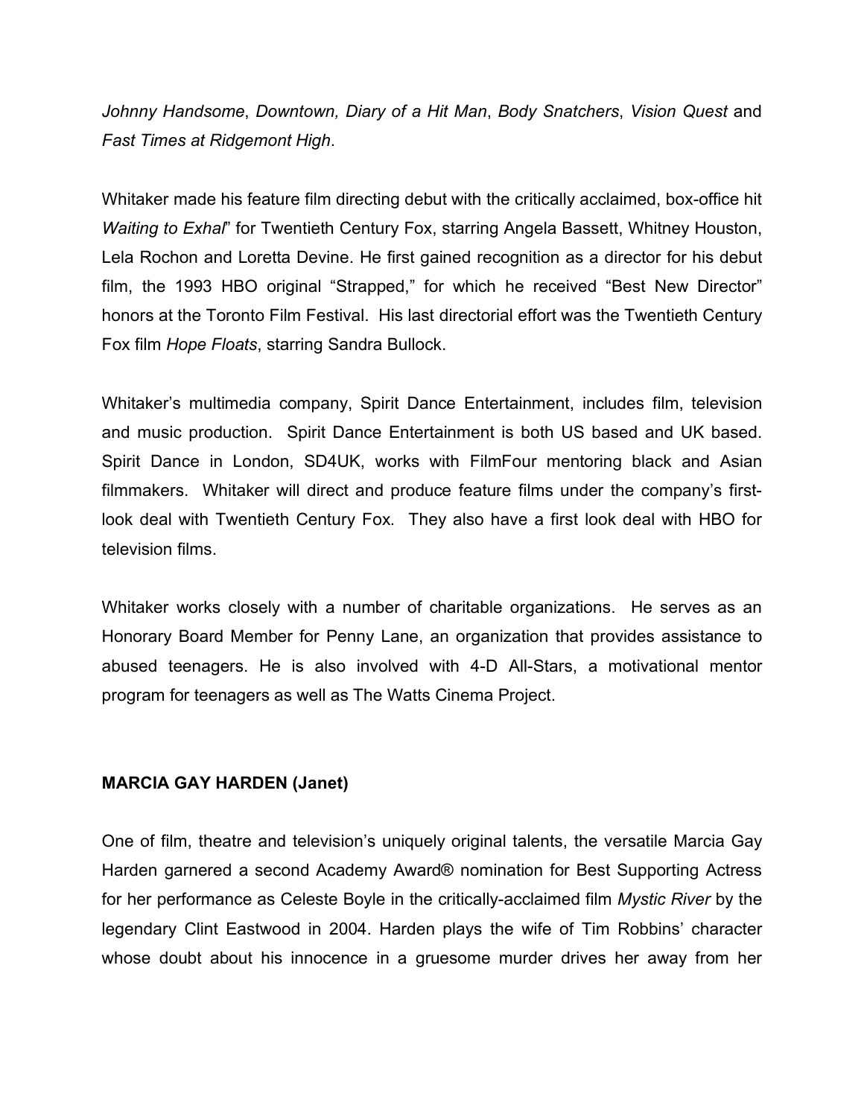*Johnny Handsome*, *Downtown, Diary of a Hit Man*, *Body Snatchers*, *Vision Quest* and *Fast Times at Ridgemont High*.

Whitaker made his feature film directing debut with the critically acclaimed, box-office hit *Waiting to Exhal*" for Twentieth Century Fox, starring Angela Bassett, Whitney Houston, Lela Rochon and Loretta Devine. He first gained recognition as a director for his debut film, the 1993 HBO original "Strapped," for which he received "Best New Director" honors at the Toronto Film Festival. His last directorial effort was the Twentieth Century Fox film *Hope Floats*, starring Sandra Bullock.

Whitaker's multimedia company, Spirit Dance Entertainment, includes film, television and music production. Spirit Dance Entertainment is both US based and UK based. Spirit Dance in London, SD4UK, works with FilmFour mentoring black and Asian filmmakers. Whitaker will direct and produce feature films under the company's firstlook deal with Twentieth Century Fox. They also have a first look deal with HBO for television films.

Whitaker works closely with a number of charitable organizations. He serves as an Honorary Board Member for Penny Lane, an organization that provides assistance to abused teenagers. He is also involved with 4-D All-Stars, a motivational mentor program for teenagers as well as The Watts Cinema Project.

#### **MARCIA GAY HARDEN (Janet)**

One of film, theatre and television's uniquely original talents, the versatile Marcia Gay Harden garnered a second Academy Award® nomination for Best Supporting Actress for her performance as Celeste Boyle in the critically-acclaimed film *Mystic River* by the legendary Clint Eastwood in 2004. Harden plays the wife of Tim Robbins' character whose doubt about his innocence in a gruesome murder drives her away from her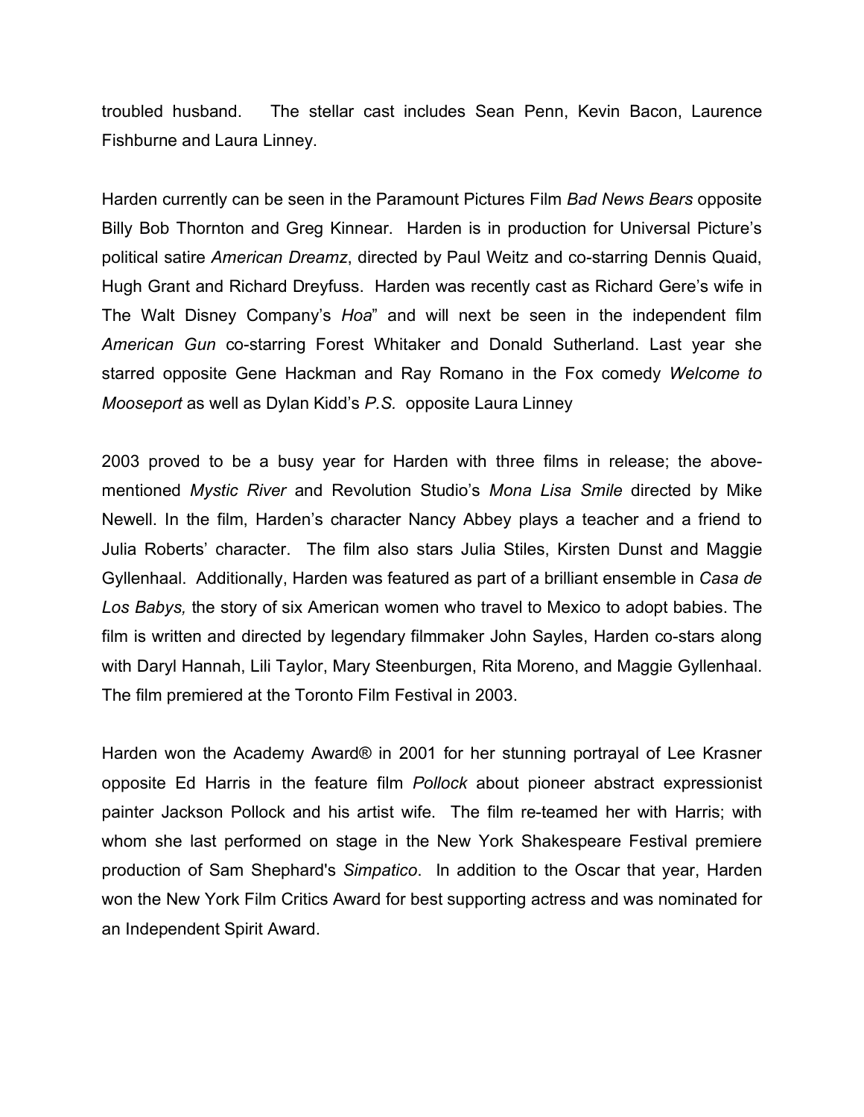troubled husband. The stellar cast includes Sean Penn, Kevin Bacon, Laurence Fishburne and Laura Linney.

Harden currently can be seen in the Paramount Pictures Film *Bad News Bears* opposite Billy Bob Thornton and Greg Kinnear. Harden is in production for Universal Picture's political satire *American Dreamz*, directed by Paul Weitz and co-starring Dennis Quaid, Hugh Grant and Richard Dreyfuss. Harden was recently cast as Richard Gere's wife in The Walt Disney Company's *Hoa*" and will next be seen in the independent film *American Gun* co-starring Forest Whitaker and Donald Sutherland. Last year she starred opposite Gene Hackman and Ray Romano in the Fox comedy *Welcome to Mooseport* as well as Dylan Kidd's *P.S.* opposite Laura Linney

2003 proved to be a busy year for Harden with three films in release; the abovementioned *Mystic River* and Revolution Studio's *Mona Lisa Smile* directed by Mike Newell. In the film, Harden's character Nancy Abbey plays a teacher and a friend to Julia Roberts' character. The film also stars Julia Stiles, Kirsten Dunst and Maggie Gyllenhaal. Additionally, Harden was featured as part of a brilliant ensemble in *Casa de Los Babys,* the story of six American women who travel to Mexico to adopt babies. The film is written and directed by legendary filmmaker John Sayles, Harden co-stars along with Daryl Hannah, Lili Taylor, Mary Steenburgen, Rita Moreno, and Maggie Gyllenhaal. The film premiered at the Toronto Film Festival in 2003.

Harden won the Academy Award® in 2001 for her stunning portrayal of Lee Krasner opposite Ed Harris in the feature film *Pollock* about pioneer abstract expressionist painter Jackson Pollock and his artist wife. The film re-teamed her with Harris; with whom she last performed on stage in the New York Shakespeare Festival premiere production of Sam Shephard's *Simpatico*. In addition to the Oscar that year, Harden won the New York Film Critics Award for best supporting actress and was nominated for an Independent Spirit Award.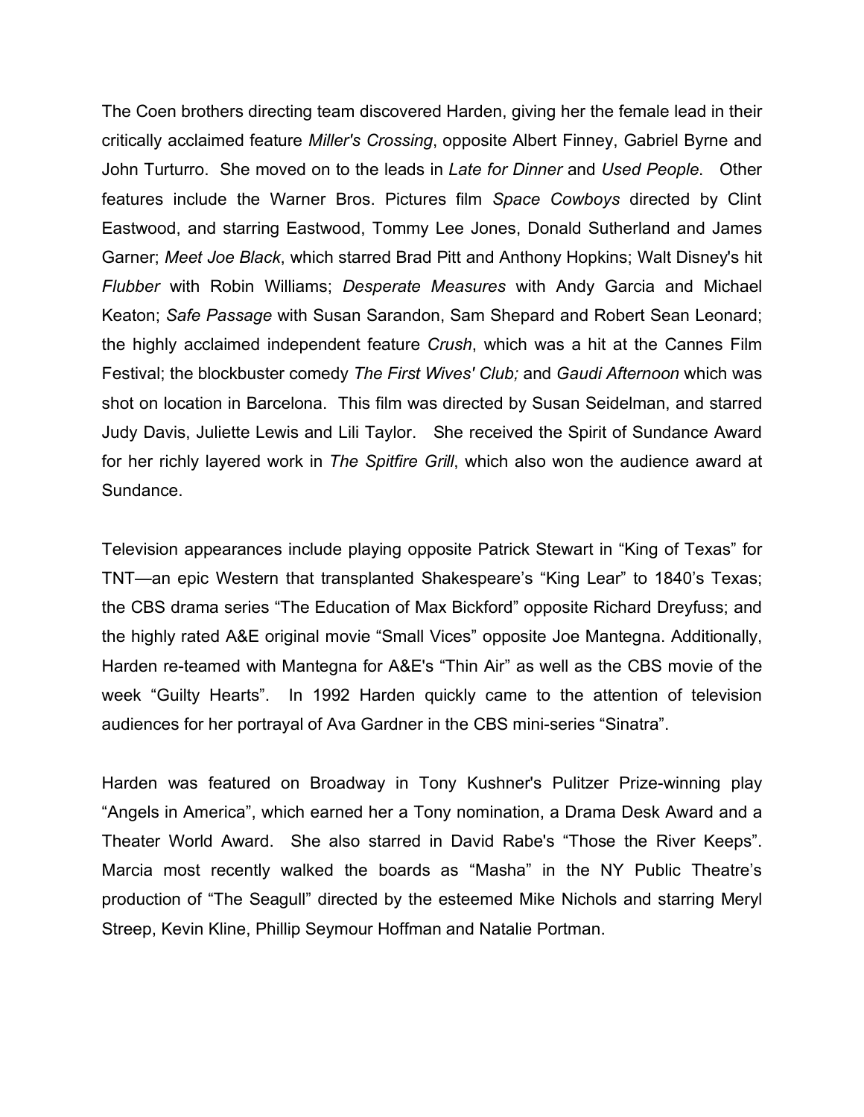The Coen brothers directing team discovered Harden, giving her the female lead in their critically acclaimed feature *Miller's Crossing*, opposite Albert Finney, Gabriel Byrne and John Turturro. She moved on to the leads in *Late for Dinner* and *Used People*. Other features include the Warner Bros. Pictures film *Space Cowboys* directed by Clint Eastwood, and starring Eastwood, Tommy Lee Jones, Donald Sutherland and James Garner; *Meet Joe Black*, which starred Brad Pitt and Anthony Hopkins; Walt Disney's hit *Flubber* with Robin Williams; *Desperate Measures* with Andy Garcia and Michael Keaton; *Safe Passage* with Susan Sarandon, Sam Shepard and Robert Sean Leonard; the highly acclaimed independent feature *Crush*, which was a hit at the Cannes Film Festival; the blockbuster comedy *The First Wives' Club;* and *Gaudi Afternoon* which was shot on location in Barcelona. This film was directed by Susan Seidelman, and starred Judy Davis, Juliette Lewis and Lili Taylor. She received the Spirit of Sundance Award for her richly layered work in *The Spitfire Grill*, which also won the audience award at Sundance.

Television appearances include playing opposite Patrick Stewart in "King of Texas" for TNT—an epic Western that transplanted Shakespeare's "King Lear" to 1840's Texas; the CBS drama series "The Education of Max Bickford" opposite Richard Dreyfuss; and the highly rated A&E original movie "Small Vices" opposite Joe Mantegna. Additionally, Harden re-teamed with Mantegna for A&E's "Thin Air" as well as the CBS movie of the week "Guilty Hearts". In 1992 Harden quickly came to the attention of television audiences for her portrayal of Ava Gardner in the CBS mini-series "Sinatra".

Harden was featured on Broadway in Tony Kushner's Pulitzer Prize-winning play "Angels in America", which earned her a Tony nomination, a Drama Desk Award and a Theater World Award. She also starred in David Rabe's "Those the River Keeps". Marcia most recently walked the boards as "Masha" in the NY Public Theatre's production of "The Seagull" directed by the esteemed Mike Nichols and starring Meryl Streep, Kevin Kline, Phillip Seymour Hoffman and Natalie Portman.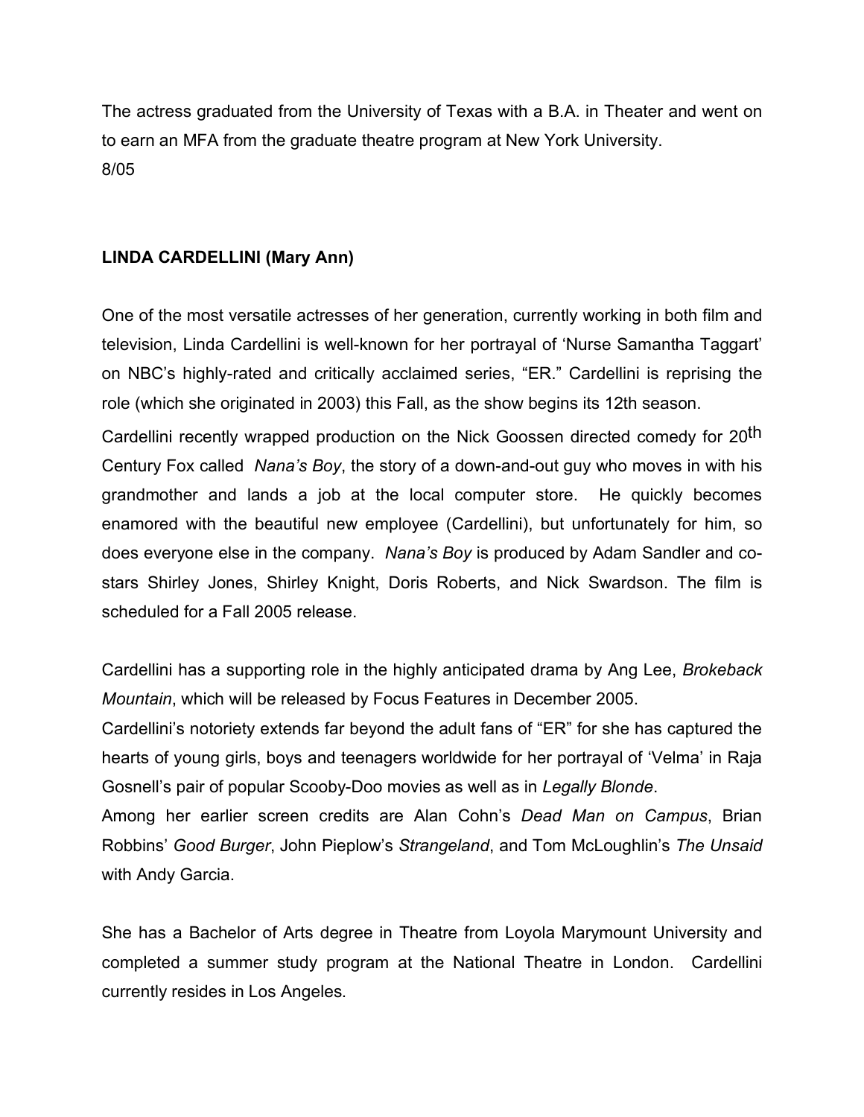The actress graduated from the University of Texas with a B.A. in Theater and went on to earn an MFA from the graduate theatre program at New York University. 8/05

# **LINDA CARDELLINI (Mary Ann)**

One of the most versatile actresses of her generation, currently working in both film and television, Linda Cardellini is well-known for her portrayal of 'Nurse Samantha Taggart' on NBC's highly-rated and critically acclaimed series, "ER." Cardellini is reprising the role (which she originated in 2003) this Fall, as the show begins its 12th season.

Cardellini recently wrapped production on the Nick Goossen directed comedy for 20<sup>th</sup> Century Fox called *Nana's Boy*, the story of a down-and-out guy who moves in with his grandmother and lands a job at the local computer store. He quickly becomes enamored with the beautiful new employee (Cardellini), but unfortunately for him, so does everyone else in the company. *Nana's Boy* is produced by Adam Sandler and costars Shirley Jones, Shirley Knight, Doris Roberts, and Nick Swardson. The film is scheduled for a Fall 2005 release.

Cardellini has a supporting role in the highly anticipated drama by Ang Lee, *Brokeback Mountain*, which will be released by Focus Features in December 2005.

Cardellini's notoriety extends far beyond the adult fans of "ER" for she has captured the hearts of young girls, boys and teenagers worldwide for her portrayal of 'Velma' in Raja Gosnell's pair of popular Scooby-Doo movies as well as in *Legally Blonde*.

Among her earlier screen credits are Alan Cohn's *Dead Man on Campus*, Brian Robbins' *Good Burger*, John Pieplow's *Strangeland*, and Tom McLoughlin's *The Unsaid* with Andy Garcia.

She has a Bachelor of Arts degree in Theatre from Loyola Marymount University and completed a summer study program at the National Theatre in London. Cardellini currently resides in Los Angeles.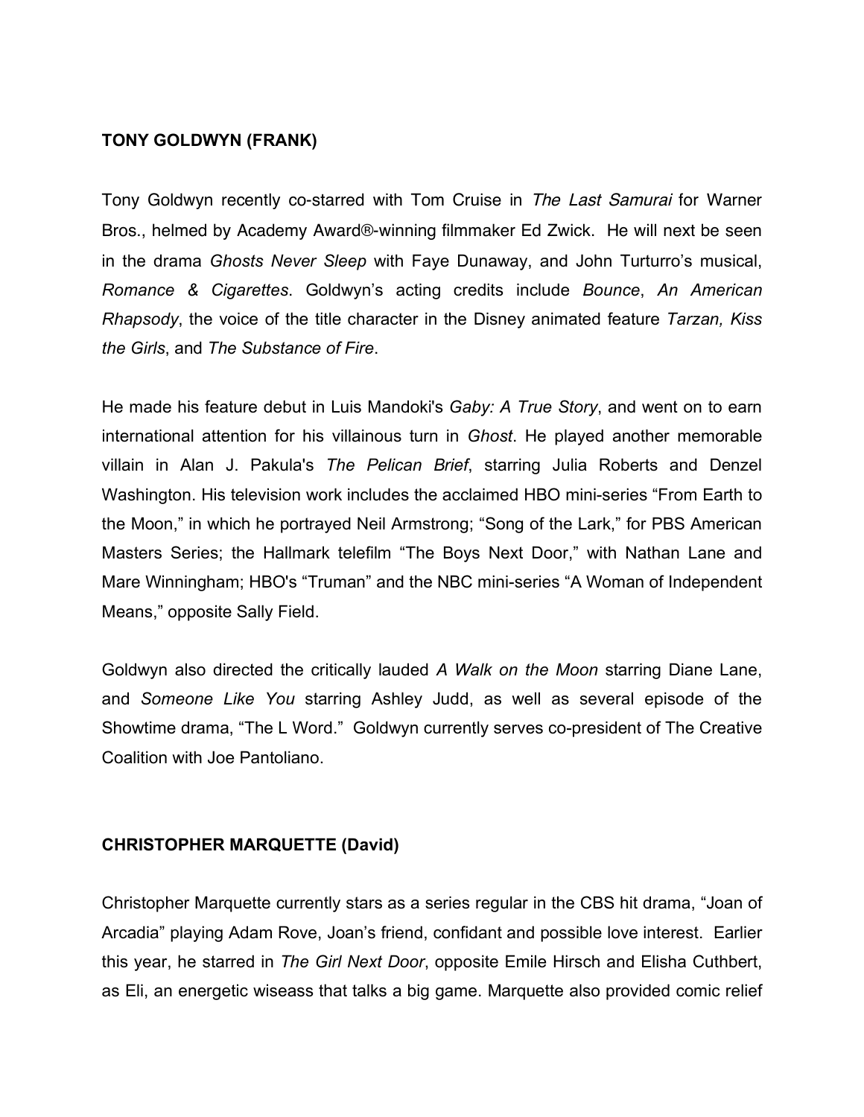## **TONY GOLDWYN (FRANK)**

Tony Goldwyn recently co-starred with Tom Cruise in The Last Samurai for Warner Bros., helmed by Academy Award®-winning filmmaker Ed Zwick. He will next be seen in the drama *Ghosts Never Sleep* with Faye Dunaway, and John Turturro's musical, *Romance & Cigarettes*. Goldwyn's acting credits include *Bounce*, *An American Rhapsody*, the voice of the title character in the Disney animated feature *Tarzan, Kiss the Girls*, and *The Substance of Fire*.

He made his feature debut in Luis Mandoki's *Gaby: A True Story*, and went on to earn international attention for his villainous turn in *Ghost*. He played another memorable villain in Alan J. Pakula's *The Pelican Brief*, starring Julia Roberts and Denzel Washington. His television work includes the acclaimed HBO mini-series "From Earth to the Moon," in which he portrayed Neil Armstrong; "Song of the Lark," for PBS American Masters Series; the Hallmark telefilm "The Boys Next Door," with Nathan Lane and Mare Winningham; HBO's "Truman" and the NBC mini-series "A Woman of Independent Means," opposite Sally Field.

Goldwyn also directed the critically lauded *A Walk on the Moon* starring Diane Lane, and *Someone Like You* starring Ashley Judd, as well as several episode of the Showtime drama, "The L Word." Goldwyn currently serves co-president of The Creative Coalition with Joe Pantoliano.

#### **CHRISTOPHER MARQUETTE (David)**

Christopher Marquette currently stars as a series regular in the CBS hit drama, "Joan of Arcadia" playing Adam Rove, Joan's friend, confidant and possible love interest. Earlier this year, he starred in *The Girl Next Door*, opposite Emile Hirsch and Elisha Cuthbert, as Eli, an energetic wiseass that talks a big game. Marquette also provided comic relief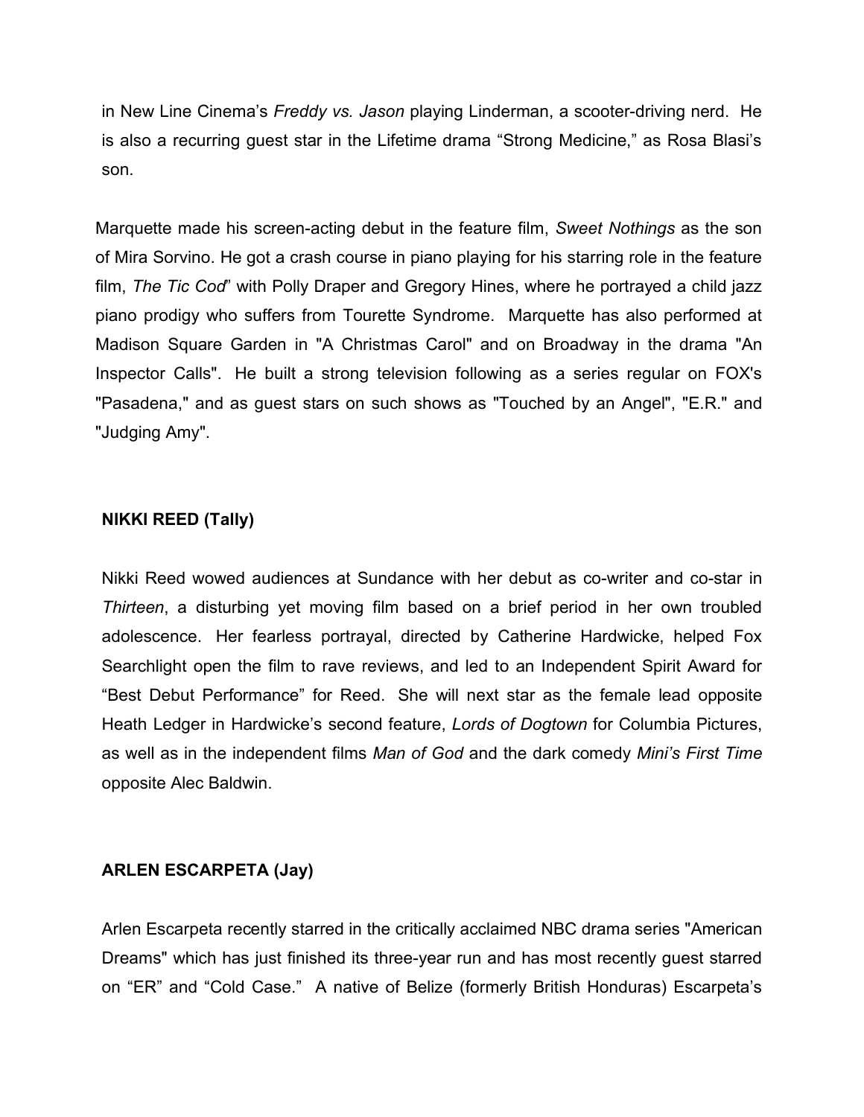in New Line Cinema's *Freddy vs. Jason* playing Linderman, a scooter-driving nerd. He is also a recurring guest star in the Lifetime drama "Strong Medicine," as Rosa Blasi's son.

Marquette made his screen-acting debut in the feature film, *Sweet Nothings* as the son of Mira Sorvino. He got a crash course in piano playing for his starring role in the feature film, *The Tic Cod*" with Polly Draper and Gregory Hines, where he portrayed a child jazz piano prodigy who suffers from Tourette Syndrome. Marquette has also performed at Madison Square Garden in "A Christmas Carol" and on Broadway in the drama "An Inspector Calls". He built a strong television following as a series regular on FOX's "Pasadena," and as guest stars on such shows as "Touched by an Angel", "E.R." and "Judging Amy".

#### **NIKKI REED (Tally)**

Nikki Reed wowed audiences at Sundance with her debut as co-writer and co-star in *Thirteen*, a disturbing yet moving film based on a brief period in her own troubled adolescence. Her fearless portrayal, directed by Catherine Hardwicke, helped Fox Searchlight open the film to rave reviews, and led to an Independent Spirit Award for "Best Debut Performance" for Reed. She will next star as the female lead opposite Heath Ledger in Hardwicke's second feature, *Lords of Dogtown* for Columbia Pictures, as well as in the independent films *Man of God* and the dark comedy *Mini's First Time* opposite Alec Baldwin.

#### **ARLEN ESCARPETA (Jay)**

Arlen Escarpeta recently starred in the critically acclaimed NBC drama series "American Dreams" which has just finished its three-year run and has most recently guest starred on "ER" and "Cold Case." A native of Belize (formerly British Honduras) Escarpeta's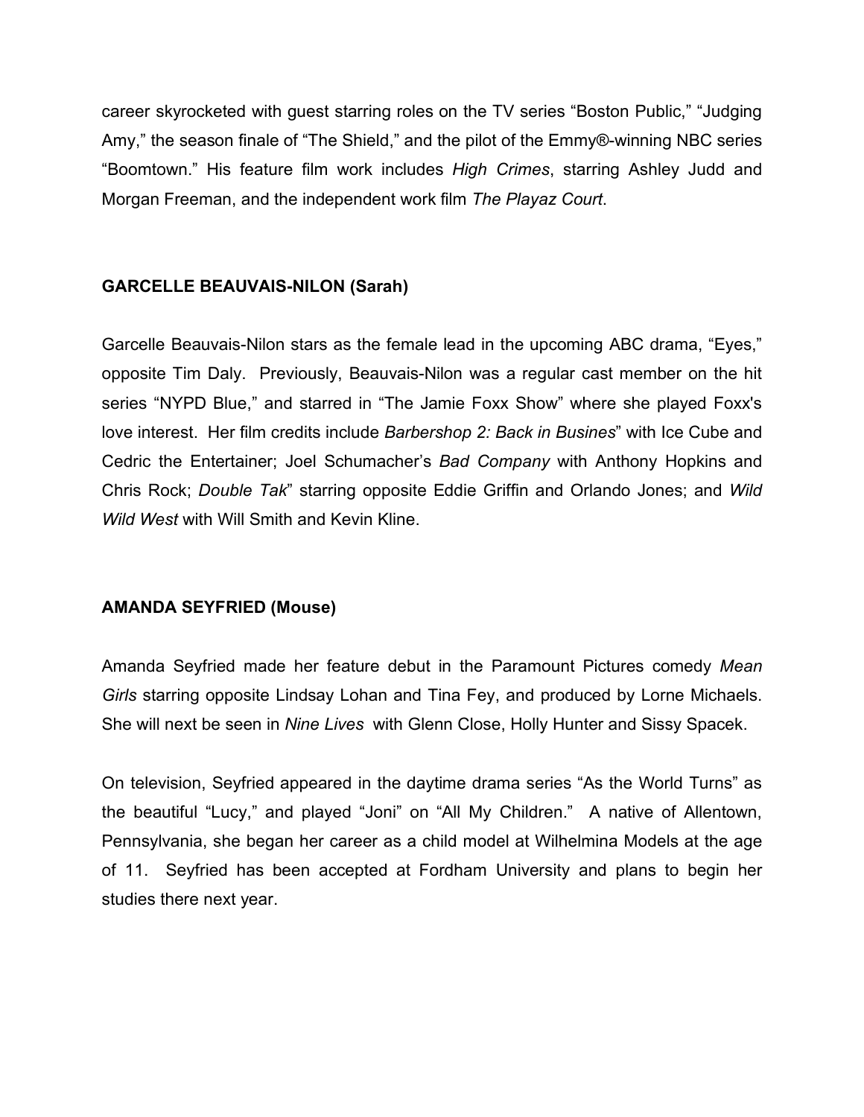career skyrocketed with guest starring roles on the TV series "Boston Public," "Judging Amy," the season finale of "The Shield," and the pilot of the Emmy®-winning NBC series "Boomtown." His feature film work includes *High Crimes*, starring Ashley Judd and Morgan Freeman, and the independent work film *The Playaz Court*.

# **GARCELLE BEAUVAIS-NILON (Sarah)**

Garcelle Beauvais-Nilon stars as the female lead in the upcoming ABC drama, "Eyes," opposite Tim Daly. Previously, Beauvais-Nilon was a regular cast member on the hit series "NYPD Blue," and starred in "The Jamie Foxx Show" where she played Foxx's love interest. Her film credits include *Barbershop 2: Back in Busines*" with Ice Cube and Cedric the Entertainer; Joel Schumacher's *Bad Company* with Anthony Hopkins and Chris Rock; *Double Tak*" starring opposite Eddie Griffin and Orlando Jones; and *Wild Wild West* with Will Smith and Kevin Kline.

# **AMANDA SEYFRIED (Mouse)**

Amanda Seyfried made her feature debut in the Paramount Pictures comedy *Mean Girls* starring opposite Lindsay Lohan and Tina Fey, and produced by Lorne Michaels. She will next be seen in *Nine Lives* with Glenn Close, Holly Hunter and Sissy Spacek.

On television, Seyfried appeared in the daytime drama series "As the World Turns" as the beautiful "Lucy," and played "Joni" on "All My Children." A native of Allentown, Pennsylvania, she began her career as a child model at Wilhelmina Models at the age of 11. Seyfried has been accepted at Fordham University and plans to begin her studies there next year.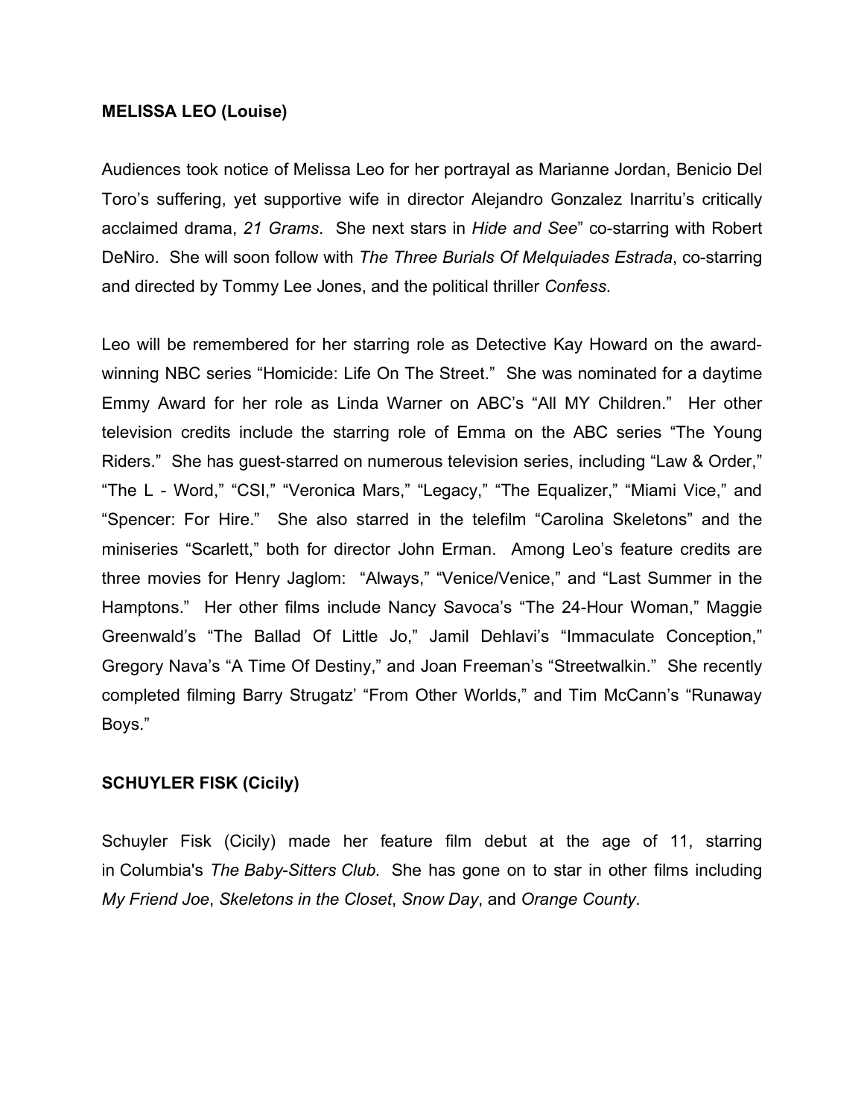#### **MELISSA LEO (Louise)**

Audiences took notice of Melissa Leo for her portrayal as Marianne Jordan, Benicio Del Toro's suffering, yet supportive wife in director Alejandro Gonzalez Inarritu's critically acclaimed drama, *21 Grams*. She next stars in *Hide and See*" co-starring with Robert DeNiro. She will soon follow with *The Three Burials Of Melquiades Estrada*, co-starring and directed by Tommy Lee Jones, and the political thriller *Confess*.

Leo will be remembered for her starring role as Detective Kay Howard on the awardwinning NBC series "Homicide: Life On The Street." She was nominated for a daytime Emmy Award for her role as Linda Warner on ABC's "All MY Children." Her other television credits include the starring role of Emma on the ABC series "The Young Riders." She has guest-starred on numerous television series, including "Law & Order," "The L - Word," "CSI," "Veronica Mars," "Legacy," "The Equalizer," "Miami Vice," and "Spencer: For Hire." She also starred in the telefilm "Carolina Skeletons" and the miniseries "Scarlett," both for director John Erman. Among Leo's feature credits are three movies for Henry Jaglom: "Always," "Venice/Venice," and "Last Summer in the Hamptons." Her other films include Nancy Savoca's "The 24-Hour Woman," Maggie Greenwald's "The Ballad Of Little Jo," Jamil Dehlavi's "Immaculate Conception," Gregory Nava's "A Time Of Destiny," and Joan Freeman's "Streetwalkin." She recently completed filming Barry Strugatz' "From Other Worlds," and Tim McCann's "Runaway Boys."

# **SCHUYLER FISK (Cicily)**

Schuyler Fisk (Cicily) made her feature film debut at the age of 11, starring in Columbia's *The Baby-Sitters Club*. She has gone on to star in other films including *My Friend Joe*, *Skeletons in the Closet*, *Snow Day*, and *Orange County*.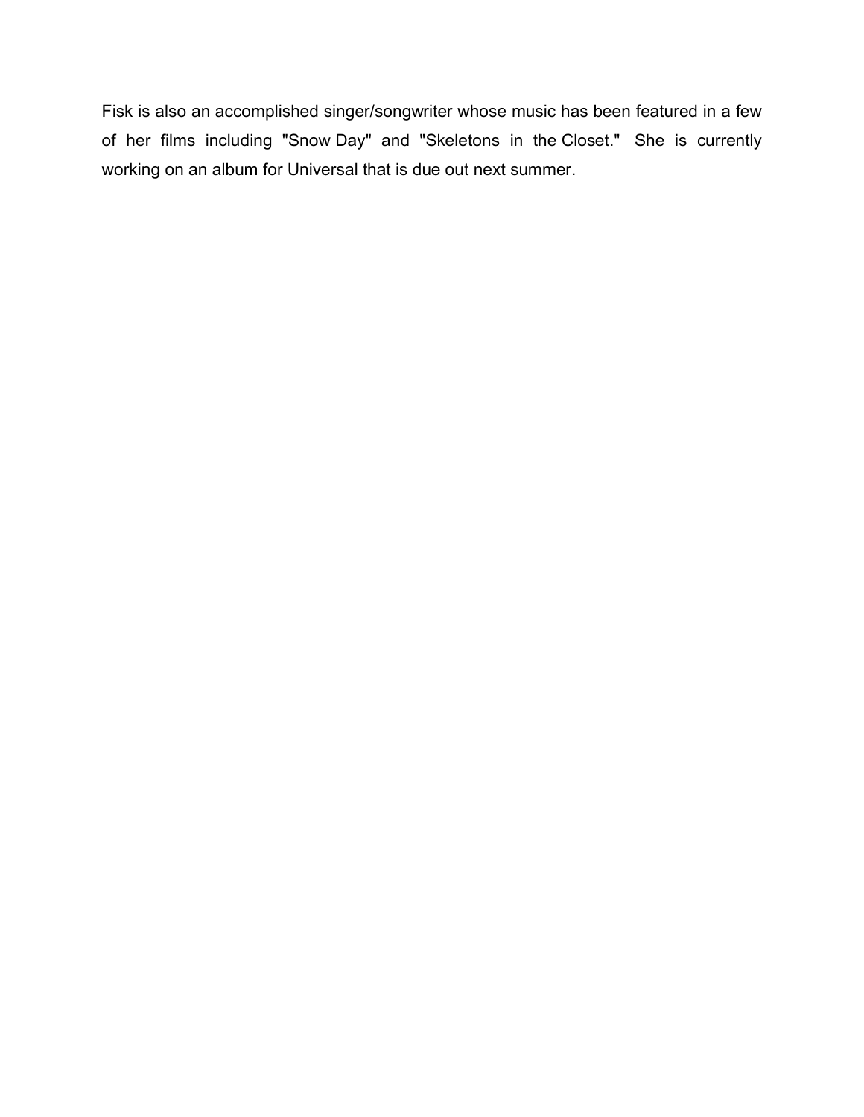Fisk is also an accomplished singer/songwriter whose music has been featured in a few of her films including "Snow Day" and "Skeletons in the Closet." She is currently working on an album for Universal that is due out next summer.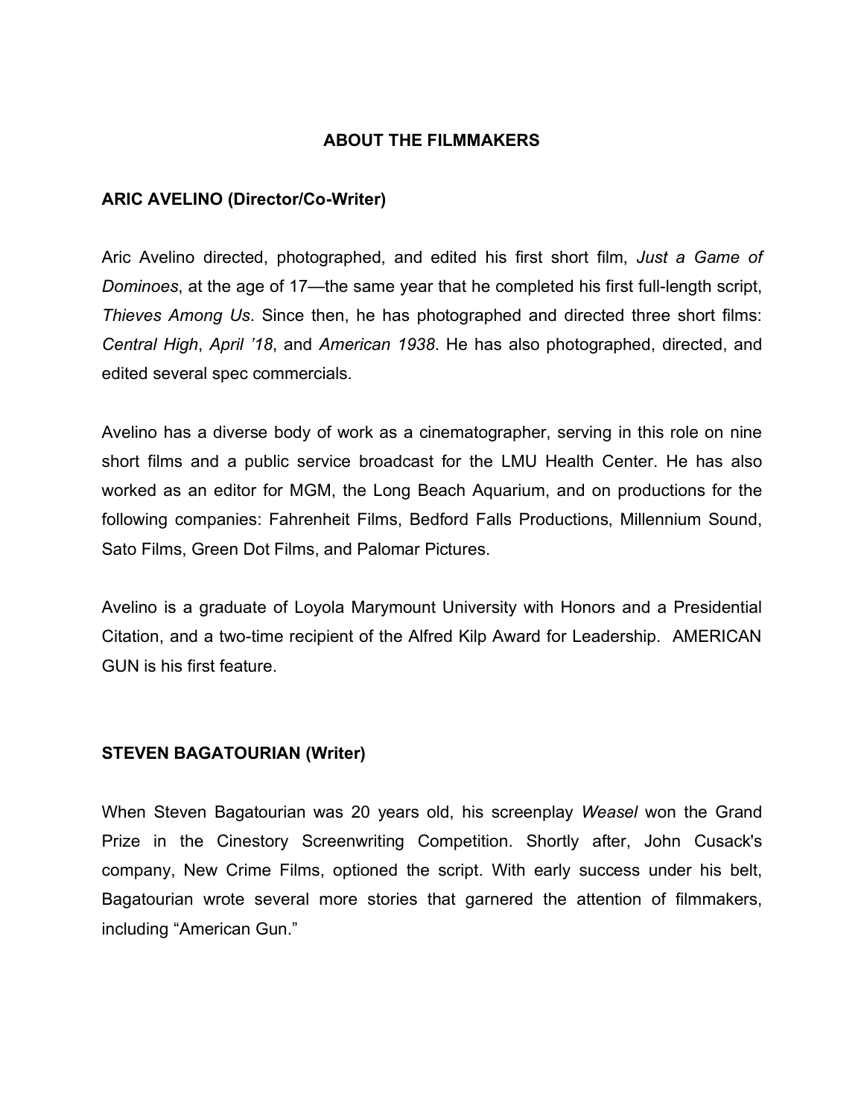#### **ABOUT THE FILMMAKERS**

#### **ARIC AVELINO (Director/Co-Writer)**

Aric Avelino directed, photographed, and edited his first short film, *Just a Game of Dominoes*, at the age of 17—the same year that he completed his first full-length script, *Thieves Among Us*. Since then, he has photographed and directed three short films: *Central High*, *April '18*, and *American 1938*. He has also photographed, directed, and edited several spec commercials.

Avelino has a diverse body of work as a cinematographer, serving in this role on nine short films and a public service broadcast for the LMU Health Center. He has also worked as an editor for MGM, the Long Beach Aquarium, and on productions for the following companies: Fahrenheit Films, Bedford Falls Productions, Millennium Sound, Sato Films, Green Dot Films, and Palomar Pictures.

Avelino is a graduate of Loyola Marymount University with Honors and a Presidential Citation, and a two-time recipient of the Alfred Kilp Award for Leadership. AMERICAN GUN is his first feature.

#### **STEVEN BAGATOURIAN (Writer)**

When Steven Bagatourian was 20 years old, his screenplay *Weasel* won the Grand Prize in the Cinestory Screenwriting Competition. Shortly after, John Cusack's company, New Crime Films, optioned the script. With early success under his belt, Bagatourian wrote several more stories that garnered the attention of filmmakers, including "American Gun."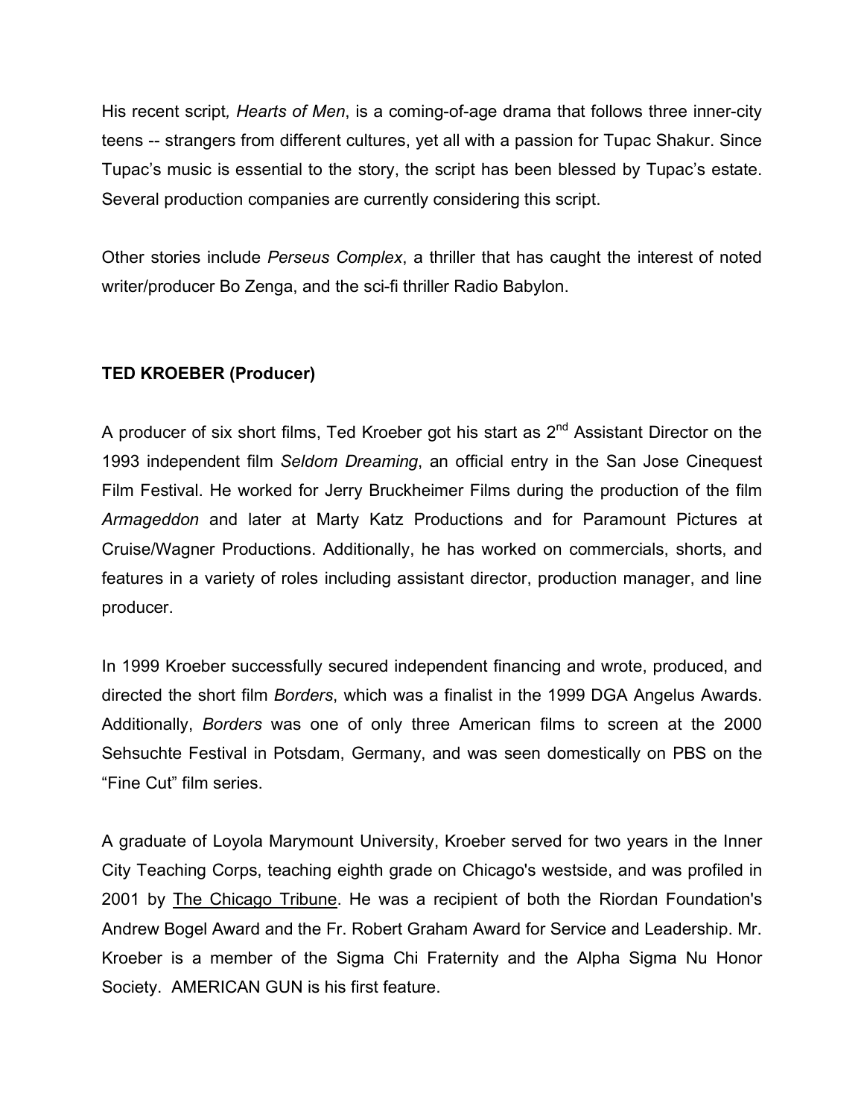His recent script*, Hearts of Men*, is a coming-of-age drama that follows three inner-city teens -- strangers from different cultures, yet all with a passion for Tupac Shakur. Since Tupac's music is essential to the story, the script has been blessed by Tupac's estate. Several production companies are currently considering this script.

Other stories include *Perseus Complex*, a thriller that has caught the interest of noted writer/producer Bo Zenga, and the sci-fi thriller Radio Babylon.

# **TED KROEBER (Producer)**

A producer of six short films, Ted Kroeber got his start as  $2^{nd}$  Assistant Director on the 1993 independent film *Seldom Dreaming*, an official entry in the San Jose Cinequest Film Festival. He worked for Jerry Bruckheimer Films during the production of the film *Armageddon* and later at Marty Katz Productions and for Paramount Pictures at Cruise/Wagner Productions. Additionally, he has worked on commercials, shorts, and features in a variety of roles including assistant director, production manager, and line producer.

In 1999 Kroeber successfully secured independent financing and wrote, produced, and directed the short film *Borders*, which was a finalist in the 1999 DGA Angelus Awards. Additionally, *Borders* was one of only three American films to screen at the 2000 Sehsuchte Festival in Potsdam, Germany, and was seen domestically on PBS on the "Fine Cut" film series.

A graduate of Loyola Marymount University, Kroeber served for two years in the Inner City Teaching Corps, teaching eighth grade on Chicago's westside, and was profiled in 2001 by The Chicago Tribune. He was a recipient of both the Riordan Foundation's Andrew Bogel Award and the Fr. Robert Graham Award for Service and Leadership. Mr. Kroeber is a member of the Sigma Chi Fraternity and the Alpha Sigma Nu Honor Society. AMERICAN GUN is his first feature.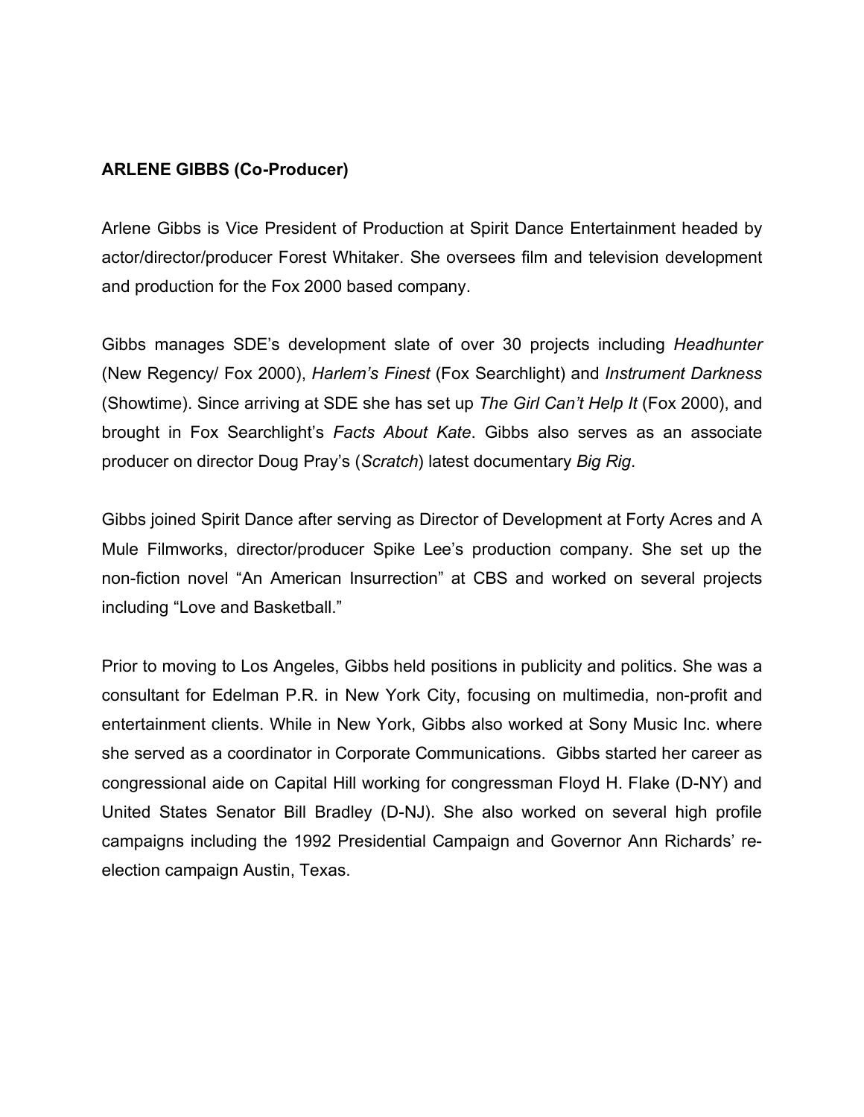# **ARLENE GIBBS (Co-Producer)**

Arlene Gibbs is Vice President of Production at Spirit Dance Entertainment headed by actor/director/producer Forest Whitaker. She oversees film and television development and production for the Fox 2000 based company.

Gibbs manages SDE's development slate of over 30 projects including *Headhunter* (New Regency/ Fox 2000), *Harlem's Finest* (Fox Searchlight) and *Instrument Darkness* (Showtime). Since arriving at SDE she has set up *The Girl Can't Help It* (Fox 2000), and brought in Fox Searchlight's *Facts About Kate*. Gibbs also serves as an associate producer on director Doug Pray's (*Scratch*) latest documentary *Big Rig*.

Gibbs joined Spirit Dance after serving as Director of Development at Forty Acres and A Mule Filmworks, director/producer Spike Lee's production company. She set up the non-fiction novel "An American Insurrection" at CBS and worked on several projects including "Love and Basketball."

Prior to moving to Los Angeles, Gibbs held positions in publicity and politics. She was a consultant for Edelman P.R. in New York City, focusing on multimedia, non-profit and entertainment clients. While in New York, Gibbs also worked at Sony Music Inc. where she served as a coordinator in Corporate Communications. Gibbs started her career as congressional aide on Capital Hill working for congressman Floyd H. Flake (D-NY) and United States Senator Bill Bradley (D-NJ). She also worked on several high profile campaigns including the 1992 Presidential Campaign and Governor Ann Richards' reelection campaign Austin, Texas.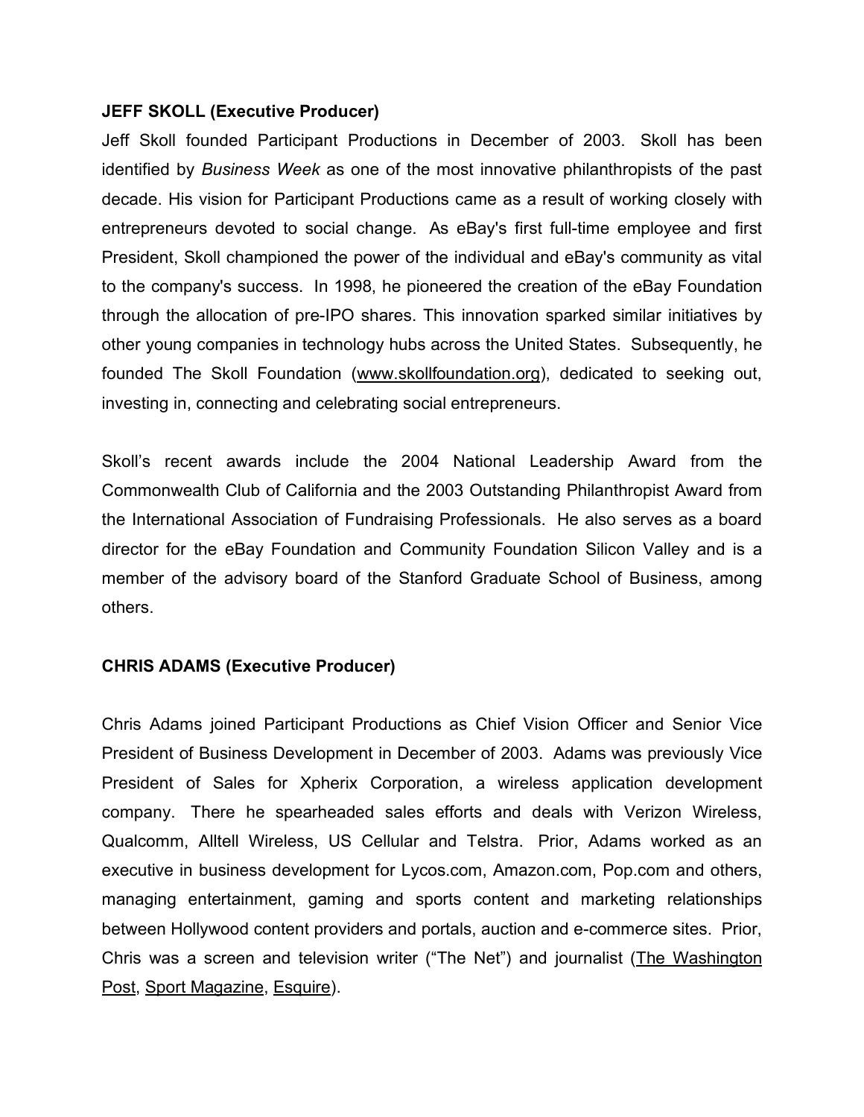#### **JEFF SKOLL (Executive Producer)**

Jeff Skoll founded Participant Productions in December of 2003. Skoll has been identified by *Business Week* as one of the most innovative philanthropists of the past decade. His vision for Participant Productions came as a result of working closely with entrepreneurs devoted to social change. As eBay's first full-time employee and first President, Skoll championed the power of the individual and eBay's community as vital to the company's success. In 1998, he pioneered the creation of the eBay Foundation through the allocation of pre-IPO shares. This innovation sparked similar initiatives by other young companies in technology hubs across the United States. Subsequently, he founded The Skoll Foundation (www.skollfoundation.org), dedicated to seeking out, investing in, connecting and celebrating social entrepreneurs.

Skoll's recent awards include the 2004 National Leadership Award from the Commonwealth Club of California and the 2003 Outstanding Philanthropist Award from the International Association of Fundraising Professionals. He also serves as a board director for the eBay Foundation and Community Foundation Silicon Valley and is a member of the advisory board of the Stanford Graduate School of Business, among others.

#### **CHRIS ADAMS (Executive Producer)**

Chris Adams joined Participant Productions as Chief Vision Officer and Senior Vice President of Business Development in December of 2003. Adams was previously Vice President of Sales for Xpherix Corporation, a wireless application development company. There he spearheaded sales efforts and deals with Verizon Wireless, Qualcomm, Alltell Wireless, US Cellular and Telstra. Prior, Adams worked as an executive in business development for Lycos.com, Amazon.com, Pop.com and others, managing entertainment, gaming and sports content and marketing relationships between Hollywood content providers and portals, auction and e-commerce sites. Prior, Chris was a screen and television writer ("The Net") and journalist (The Washington Post, Sport Magazine, Esquire).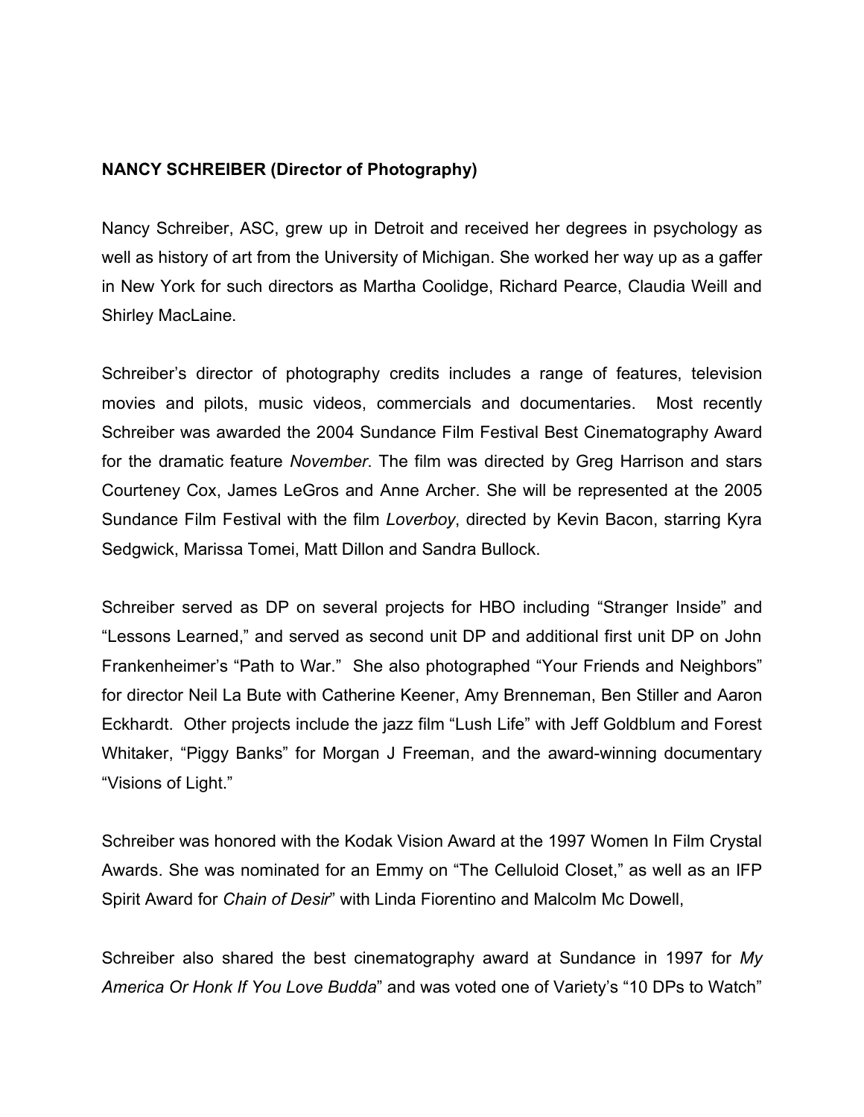# **NANCY SCHREIBER (Director of Photography)**

Nancy Schreiber, ASC, grew up in Detroit and received her degrees in psychology as well as history of art from the University of Michigan. She worked her way up as a gaffer in New York for such directors as Martha Coolidge, Richard Pearce, Claudia Weill and Shirley MacLaine.

Schreiber's director of photography credits includes a range of features, television movies and pilots, music videos, commercials and documentaries. Most recently Schreiber was awarded the 2004 Sundance Film Festival Best Cinematography Award for the dramatic feature *November*. The film was directed by Greg Harrison and stars Courteney Cox, James LeGros and Anne Archer. She will be represented at the 2005 Sundance Film Festival with the film *Loverboy*, directed by Kevin Bacon, starring Kyra Sedgwick, Marissa Tomei, Matt Dillon and Sandra Bullock.

Schreiber served as DP on several projects for HBO including "Stranger Inside" and "Lessons Learned," and served as second unit DP and additional first unit DP on John Frankenheimer's "Path to War." She also photographed "Your Friends and Neighbors" for director Neil La Bute with Catherine Keener, Amy Brenneman, Ben Stiller and Aaron Eckhardt. Other projects include the jazz film "Lush Life" with Jeff Goldblum and Forest Whitaker, "Piggy Banks" for Morgan J Freeman, and the award-winning documentary "Visions of Light."

Schreiber was honored with the Kodak Vision Award at the 1997 Women In Film Crystal Awards. She was nominated for an Emmy on "The Celluloid Closet," as well as an IFP Spirit Award for *Chain of Desir*" with Linda Fiorentino and Malcolm Mc Dowell,

Schreiber also shared the best cinematography award at Sundance in 1997 for *My America Or Honk If You Love Budda*" and was voted one of Variety's "10 DPs to Watch"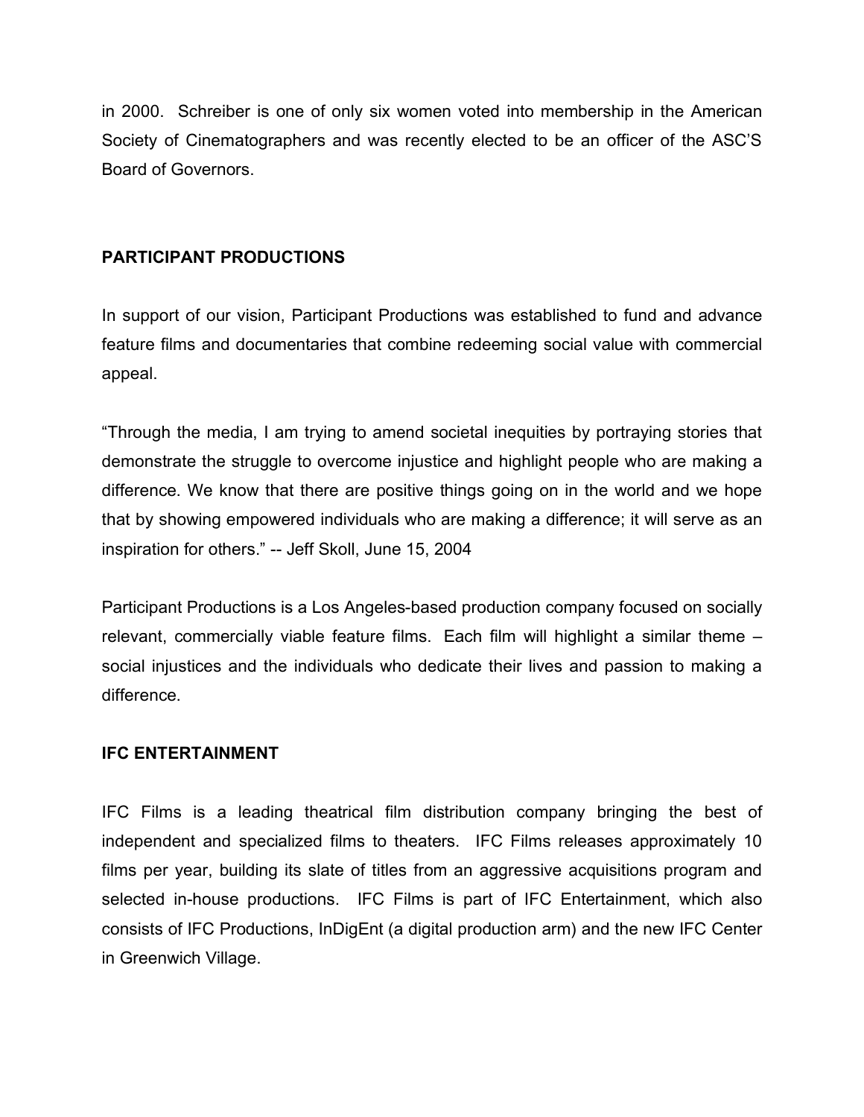in 2000. Schreiber is one of only six women voted into membership in the American Society of Cinematographers and was recently elected to be an officer of the ASC'S Board of Governors.

## **PARTICIPANT PRODUCTIONS**

In support of our vision, Participant Productions was established to fund and advance feature films and documentaries that combine redeeming social value with commercial appeal.

"Through the media, I am trying to amend societal inequities by portraying stories that demonstrate the struggle to overcome injustice and highlight people who are making a difference. We know that there are positive things going on in the world and we hope that by showing empowered individuals who are making a difference; it will serve as an inspiration for others." -- Jeff Skoll, June 15, 2004

Participant Productions is a Los Angeles-based production company focused on socially relevant, commercially viable feature films. Each film will highlight a similar theme – social injustices and the individuals who dedicate their lives and passion to making a difference.

#### **IFC ENTERTAINMENT**

IFC Films is a leading theatrical film distribution company bringing the best of independent and specialized films to theaters. IFC Films releases approximately 10 films per year, building its slate of titles from an aggressive acquisitions program and selected in-house productions. IFC Films is part of IFC Entertainment, which also consists of IFC Productions, InDigEnt (a digital production arm) and the new IFC Center in Greenwich Village.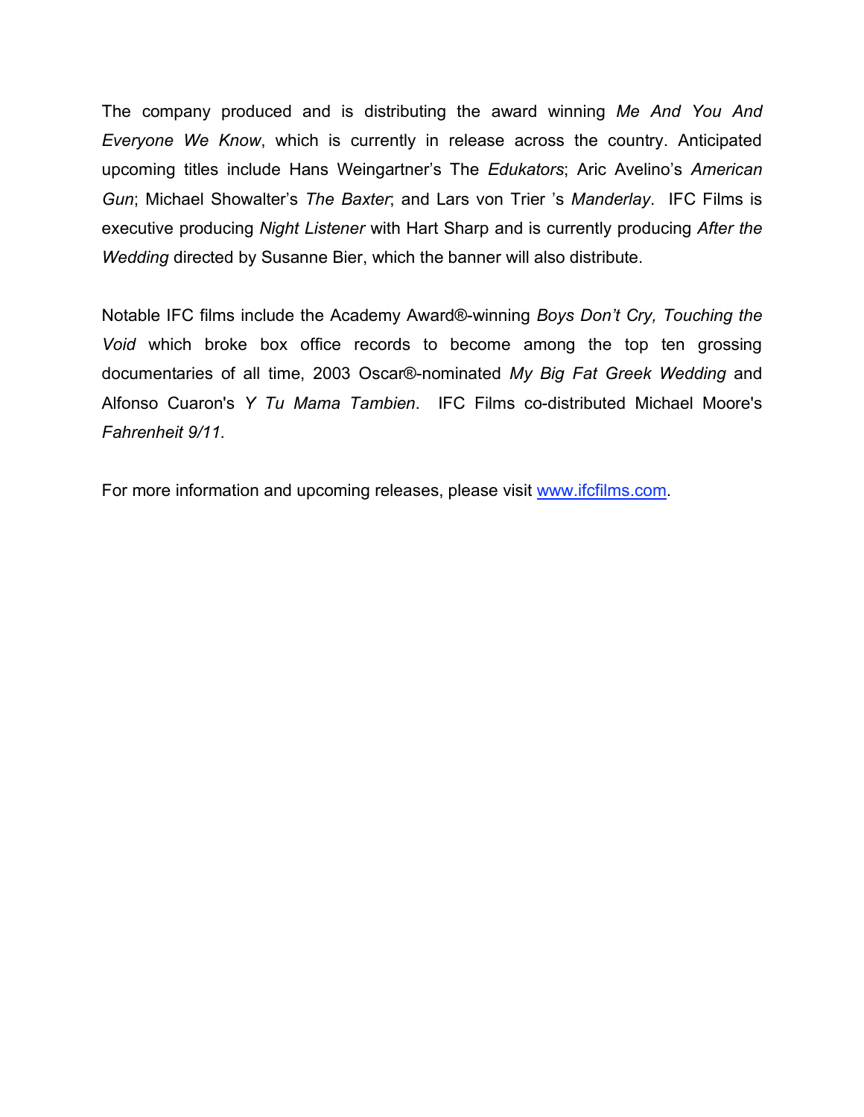The company produced and is distributing the award winning *Me And You And Everyone We Know*, which is currently in release across the country. Anticipated upcoming titles include Hans Weingartner's The *Edukators*; Aric Avelino's *American Gun*; Michael Showalter's *The Baxter*; and Lars von Trier 's *Manderlay*. IFC Films is executive producing *Night Listener* with Hart Sharp and is currently producing *After the Wedding* directed by Susanne Bier, which the banner will also distribute.

Notable IFC films include the Academy Award®-winning *Boys Don't Cry, Touching the Void* which broke box office records to become among the top ten grossing documentaries of all time, 2003 Oscar®-nominated *My Big Fat Greek Wedding* and Alfonso Cuaron's *Y Tu Mama Tambien*. IFC Films co-distributed Michael Moore's *Fahrenheit 9/11.*

For more information and upcoming releases, please visit www.ifcfilms.com.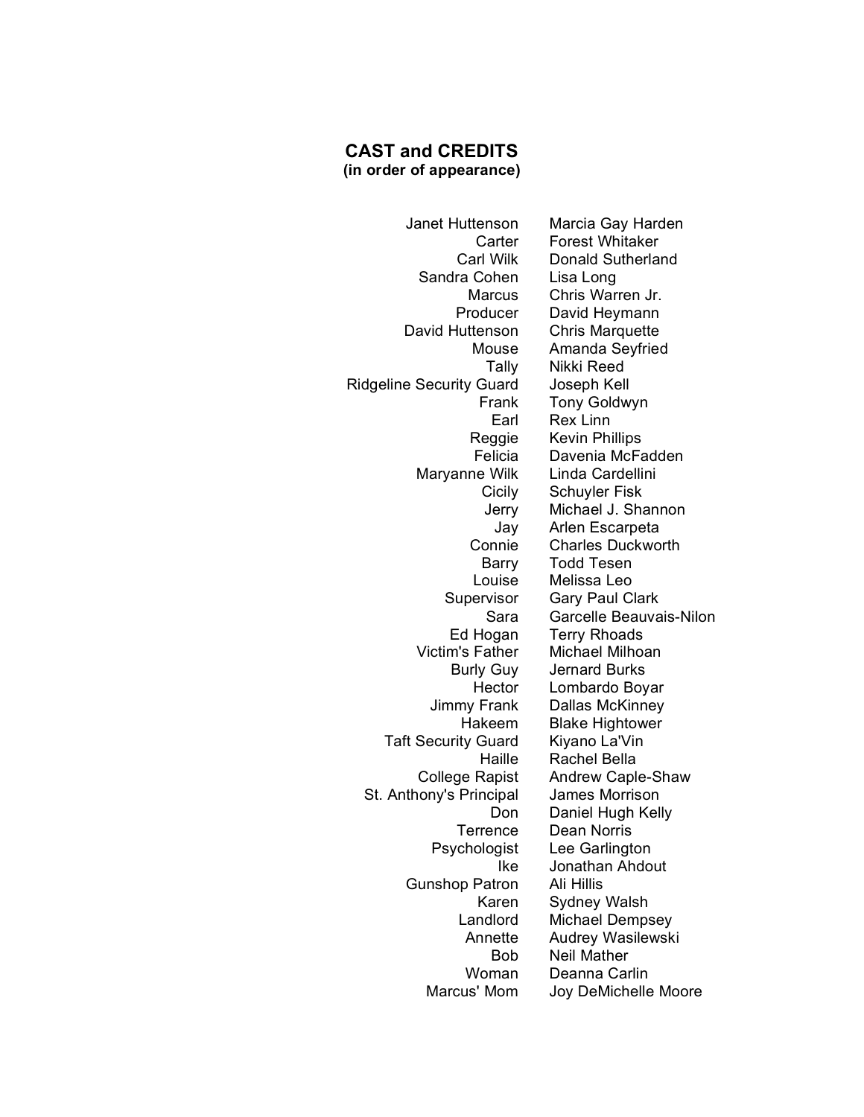#### **CAST and CREDITS (in order of appearance)**

Sandra Cohen Lisa Long David Huttenson Chris Marquette Ridgeline Security Guard Joseph Kell Maryanne Wilk Linda Cardellini Taft Security Guard Kiyano La'Vin St. Anthony's Principal James Morrison Gunshop Patron Ali Hillis

Janet Huttenson Marcia Gay Harden Carter Forest Whitaker Carl Wilk Donald Sutherland Marcus Chris Warren Jr. Producer David Heymann Mouse Amanda Seyfried Tally Nikki Reed Frank Tony Goldwyn Earl Rex Linn Reggie Kevin Phillips Felicia Davenia McFadden Cicily Schuyler Fisk Jerry Michael J. Shannon Jay Arlen Escarpeta<br>Connie Charles Duckwo Charles Duckworth Barry Todd Tesen Louise Melissa Leo Supervisor Gary Paul Clark Sara Garcelle Beauvais-Nilon Ed Hogan Terry Rhoads Victim's Father Michael Milhoan Burly Guy Jernard Burks Hector Lombardo Boyar Jimmy Frank Dallas McKinney Hakeem Blake Hightower Haille Rachel Bella College Rapist Andrew Caple-Shaw Don Daniel Hugh Kelly Terrence Dean Norris Psychologist Lee Garlington Ike Jonathan Ahdout Karen Sydney Walsh Landlord Michael Dempsey Annette Audrey Wasilewski Bob Neil Mather Woman Deanna Carlin Marcus' Mom Joy DeMichelle Moore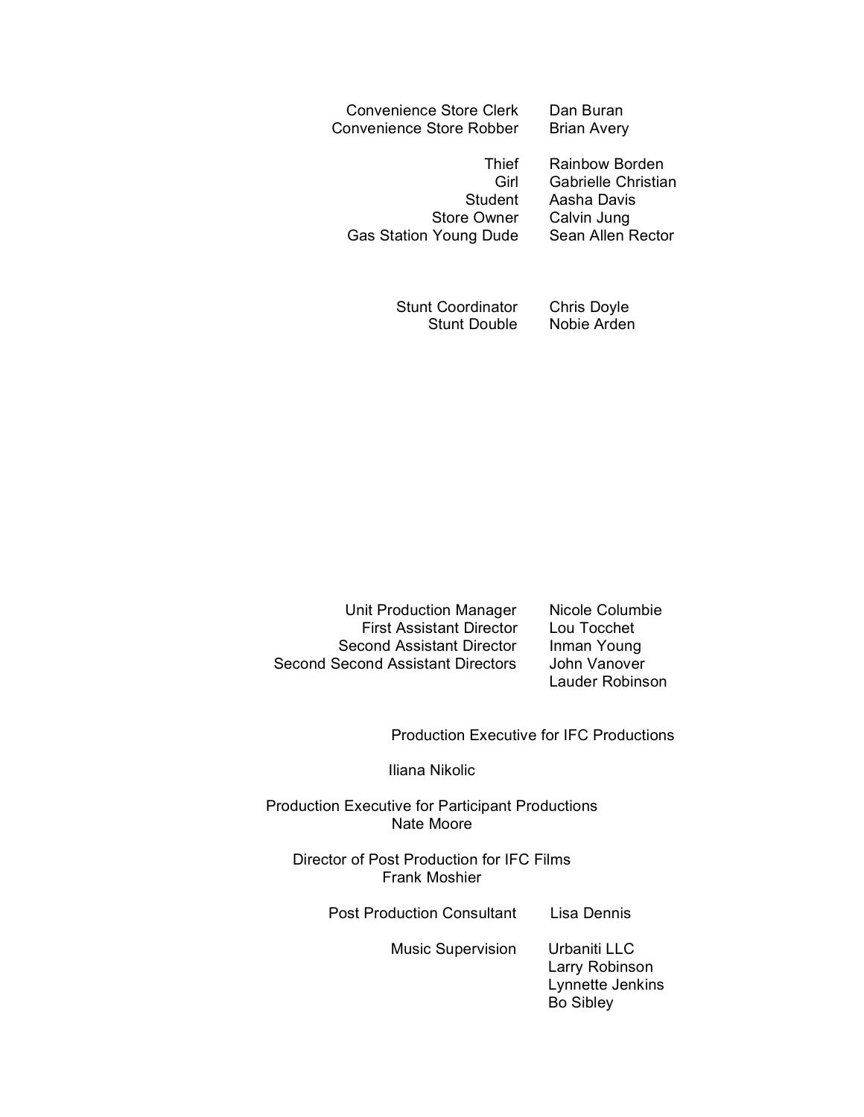| <b>Convenience Store Clerk</b> | Dan Buran          |
|--------------------------------|--------------------|
| Convenience Store Robber       | <b>Brian Avery</b> |

Student Aasha Davis Store Owner Calvin Jung Gas Station Young Dude Sean Allen Rector

Thief Rainbow Borden Girl Gabrielle Christian

Stunt Coordinator Chris Doyle Stunt Double Nobie Arden

Unit Production Manager Nicole Columbie First Assistant Director Lou Tocchet Second Assistant Director Inman Young Second Second Assistant Directors John Vanover

Lauder Robinson

Production Executive for IFC Productions

Iliana Nikolic

Production Executive for Participant Productions Nate Moore

Director of Post Production for IFC Films Frank Moshier

Post Production Consultant Lisa Dennis

Music Supervision Urbaniti LLC

Larry Robinson Lynnette Jenkins Bo Sibley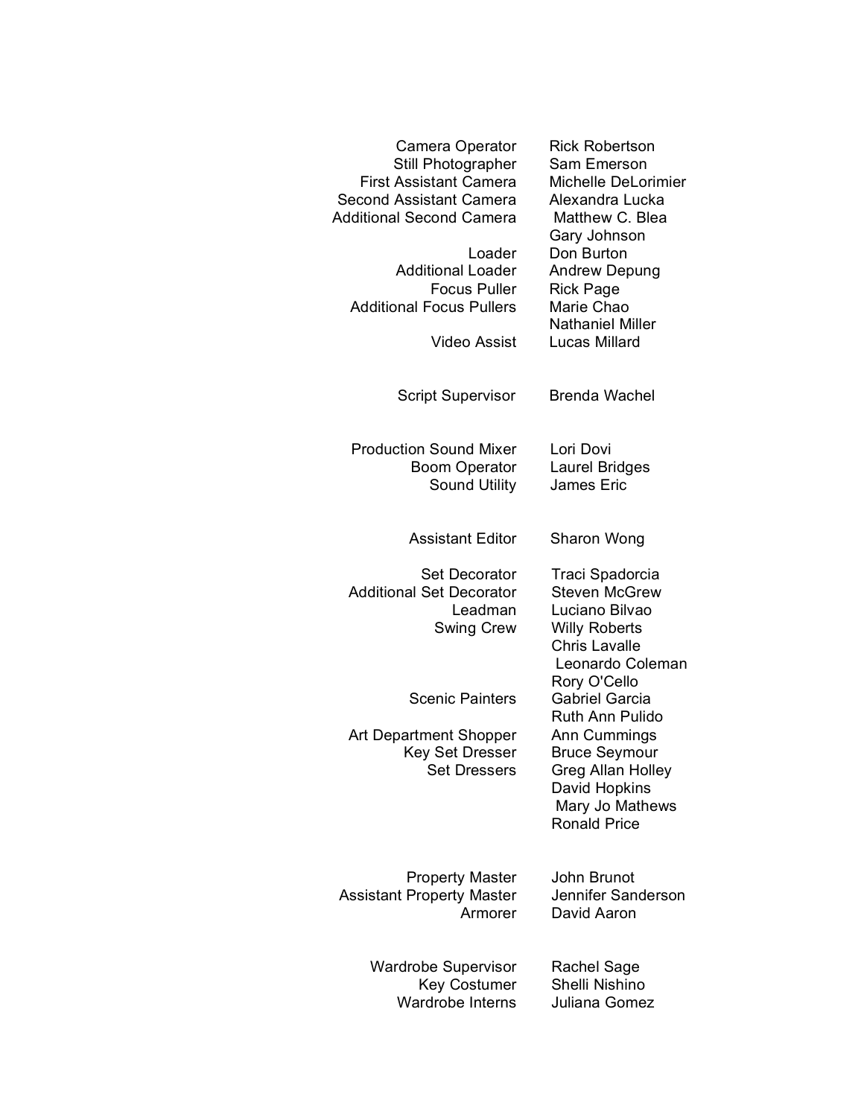| Camera Operator<br>Still Photographer<br><b>First Assistant Camera</b><br>Second Assistant Camera<br><b>Additional Second Camera</b> | <b>Rick Robertson</b><br>Sam Emerson<br>Michelle DeLorimier<br>Alexandra Lucka<br>Matthew C. Blea<br>Gary Johnson                              |
|--------------------------------------------------------------------------------------------------------------------------------------|------------------------------------------------------------------------------------------------------------------------------------------------|
| Loader<br><b>Additional Loader</b><br><b>Focus Puller</b><br><b>Additional Focus Pullers</b>                                         | Don Burton<br>Andrew Depung<br><b>Rick Page</b><br>Marie Chao<br><b>Nathaniel Miller</b>                                                       |
| <b>Video Assist</b>                                                                                                                  | Lucas Millard                                                                                                                                  |
| <b>Script Supervisor</b>                                                                                                             | Brenda Wachel                                                                                                                                  |
| <b>Production Sound Mixer</b><br><b>Boom Operator</b><br><b>Sound Utility</b>                                                        | Lori Dovi<br>Laurel Bridges<br>James Eric                                                                                                      |
| <b>Assistant Editor</b>                                                                                                              | Sharon Wong                                                                                                                                    |
| <b>Set Decorator</b><br><b>Additional Set Decorator</b><br>Leadman<br><b>Swing Crew</b>                                              | Traci Spadorcia<br><b>Steven McGrew</b><br>Luciano Bilvao<br><b>Willy Roberts</b><br><b>Chris Lavalle</b><br>Leonardo Coleman                  |
| <b>Scenic Painters</b>                                                                                                               | Rory O'Cello<br><b>Gabriel Garcia</b>                                                                                                          |
| Art Department Shopper<br>Key Set Dresser<br><b>Set Dressers</b>                                                                     | <b>Ruth Ann Pulido</b><br>Ann Cummings<br><b>Bruce Seymour</b><br>Greg Allan Holley<br>David Hopkins<br>Mary Jo Mathews<br><b>Ronald Price</b> |
| <b>Property Master</b><br><b>Assistant Property Master</b><br>Armorer                                                                | John Brunot<br>Jennifer Sanderson<br>David Aaron                                                                                               |
| <b>Wardrobe Supervisor</b><br><b>Key Costumer</b><br>Wardrobe Interns                                                                | Rachel Sage<br>Shelli Nishino<br>Juliana Gomez                                                                                                 |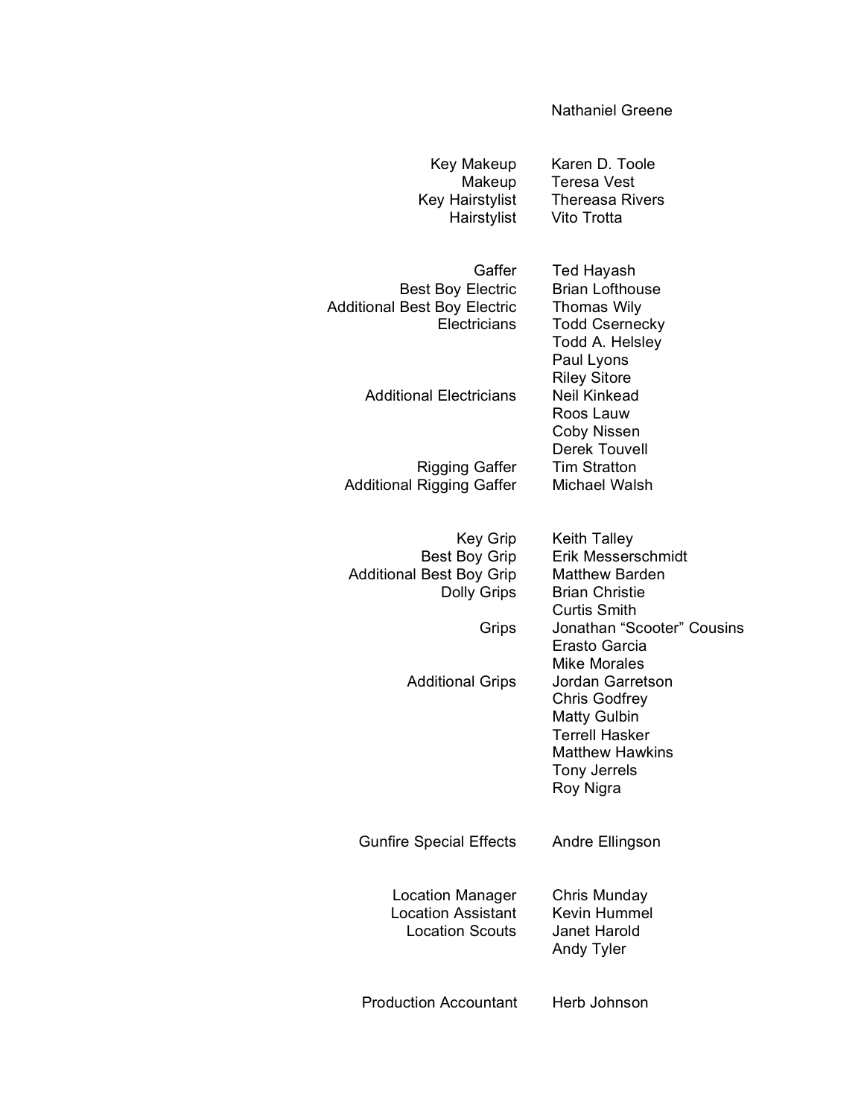#### Nathaniel Greene

| Key Makeup<br>Makeup<br>Key Hairstylist<br>Hairstylist                                                    | Karen D. Toole<br>Teresa Vest<br><b>Thereasa Rivers</b><br>Vito Trotta                                                                                                                   |
|-----------------------------------------------------------------------------------------------------------|------------------------------------------------------------------------------------------------------------------------------------------------------------------------------------------|
| Gaffer<br><b>Best Boy Electric</b><br><b>Additional Best Boy Electric</b><br>Electricians                 | <b>Ted Hayash</b><br><b>Brian Lofthouse</b><br><b>Thomas Wily</b><br><b>Todd Csernecky</b><br>Todd A. Helsley<br>Paul Lyons                                                              |
| <b>Additional Electricians</b>                                                                            | <b>Riley Sitore</b><br><b>Neil Kinkead</b><br>Roos Lauw<br>Coby Nissen<br><b>Derek Touvell</b>                                                                                           |
| <b>Rigging Gaffer</b><br><b>Additional Rigging Gaffer</b>                                                 | <b>Tim Stratton</b><br>Michael Walsh                                                                                                                                                     |
| <b>Key Grip</b><br><b>Best Boy Grip</b><br><b>Additional Best Boy Grip</b><br><b>Dolly Grips</b><br>Grips | <b>Keith Talley</b><br>Erik Messerschmidt<br><b>Matthew Barden</b><br><b>Brian Christie</b><br><b>Curtis Smith</b><br>Jonathan "Scooter" Cousins<br>Erasto Garcia<br><b>Mike Morales</b> |
| <b>Additional Grips</b>                                                                                   | Jordan Garretson<br><b>Chris Godfrey</b><br><b>Matty Gulbin</b><br><b>Terrell Hasker</b><br><b>Matthew Hawkins</b><br><b>Tony Jerrels</b><br>Roy Nigra                                   |
| <b>Gunfire Special Effects</b>                                                                            | Andre Ellingson                                                                                                                                                                          |
| Location Manager<br><b>Location Assistant</b><br><b>Location Scouts</b>                                   | Chris Munday<br><b>Kevin Hummel</b><br>Janet Harold<br><b>Andy Tyler</b>                                                                                                                 |
| <b>Production Accountant</b>                                                                              | Herb Johnson                                                                                                                                                                             |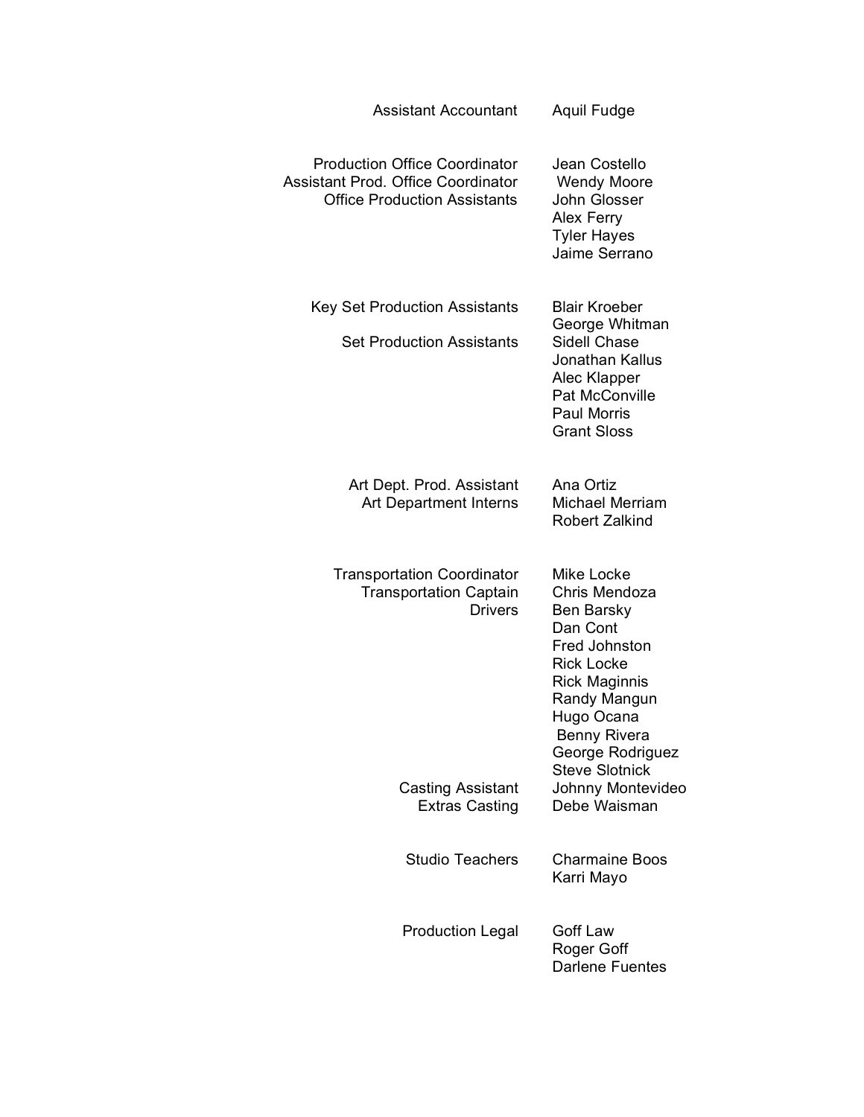| <b>Assistant Accountant</b>                                                                                              | Aquil Fudge                                                                                                                                                                                                           |
|--------------------------------------------------------------------------------------------------------------------------|-----------------------------------------------------------------------------------------------------------------------------------------------------------------------------------------------------------------------|
| <b>Production Office Coordinator</b><br><b>Assistant Prod. Office Coordinator</b><br><b>Office Production Assistants</b> | Jean Costello<br><b>Wendy Moore</b><br>John Glosser<br>Alex Ferry<br><b>Tyler Hayes</b><br>Jaime Serrano                                                                                                              |
| <b>Key Set Production Assistants</b><br><b>Set Production Assistants</b>                                                 | <b>Blair Kroeber</b><br>George Whitman<br>Sidell Chase<br>Jonathan Kallus<br>Alec Klapper<br><b>Pat McConville</b><br><b>Paul Morris</b><br><b>Grant Sloss</b>                                                        |
| Art Dept. Prod. Assistant<br><b>Art Department Interns</b>                                                               | Ana Ortiz<br><b>Michael Merriam</b><br><b>Robert Zalkind</b>                                                                                                                                                          |
| <b>Transportation Coordinator</b><br><b>Transportation Captain</b><br><b>Drivers</b>                                     | Mike Locke<br>Chris Mendoza<br>Ben Barsky<br>Dan Cont<br>Fred Johnston<br><b>Rick Locke</b><br><b>Rick Maginnis</b><br>Randy Mangun<br>Hugo Ocana<br><b>Benny Rivera</b><br>George Rodriguez<br><b>Steve Slotnick</b> |
| <b>Casting Assistant</b><br><b>Extras Casting</b>                                                                        | Johnny Montevideo<br>Debe Waisman                                                                                                                                                                                     |
| <b>Studio Teachers</b>                                                                                                   | <b>Charmaine Boos</b><br>Karri Mayo                                                                                                                                                                                   |
| <b>Production Legal</b>                                                                                                  | Goff Law<br>Roger Goff<br><b>Darlene Fuentes</b>                                                                                                                                                                      |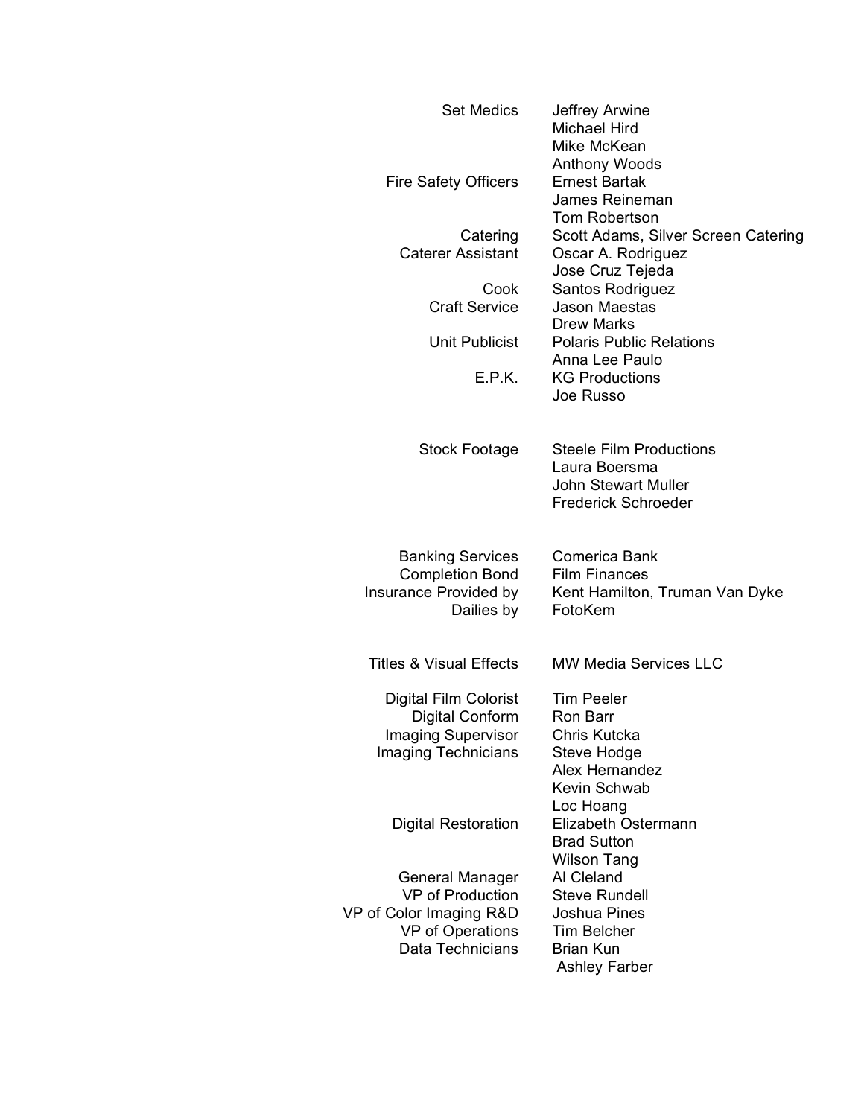| <b>Set Medics</b><br><b>Fire Safety Officers</b>                                                                     | Jeffrey Arwine<br>Michael Hird<br>Mike McKean<br><b>Anthony Woods</b><br><b>Ernest Bartak</b>                        |
|----------------------------------------------------------------------------------------------------------------------|----------------------------------------------------------------------------------------------------------------------|
|                                                                                                                      | James Reineman<br><b>Tom Robertson</b>                                                                               |
| Catering<br><b>Caterer Assistant</b>                                                                                 | Scott Adams, Silver Screen Catering<br>Oscar A. Rodriguez<br>Jose Cruz Tejeda                                        |
| Cook<br><b>Craft Service</b>                                                                                         | Santos Rodriguez<br><b>Jason Maestas</b><br><b>Drew Marks</b>                                                        |
| Unit Publicist                                                                                                       | <b>Polaris Public Relations</b><br>Anna Lee Paulo                                                                    |
| E.P.K.                                                                                                               | <b>KG Productions</b><br>Joe Russo                                                                                   |
| Stock Footage                                                                                                        | <b>Steele Film Productions</b><br>Laura Boersma<br><b>John Stewart Muller</b><br><b>Frederick Schroeder</b>          |
| <b>Banking Services</b><br><b>Completion Bond</b><br>Insurance Provided by<br>Dailies by                             | Comerica Bank<br><b>Film Finances</b><br>Kent Hamilton, Truman Van Dyke<br>FotoKem                                   |
| <b>Titles &amp; Visual Effects</b>                                                                                   | <b>MW Media Services LLC</b>                                                                                         |
| Digital Film Colorist<br>Digital Conform<br>Imaging Supervisor<br>Imaging Technicians                                | <b>Tim Peeler</b><br>Ron Barr<br>Chris Kutcka<br>Steve Hodge<br>Alex Hernandez<br>Kevin Schwab<br>Loc Hoang          |
| <b>Digital Restoration</b>                                                                                           | Elizabeth Ostermann<br><b>Brad Sutton</b><br><b>Wilson Tang</b>                                                      |
| General Manager<br><b>VP</b> of Production<br>VP of Color Imaging R&D<br><b>VP</b> of Operations<br>Data Technicians | Al Cleland<br><b>Steve Rundell</b><br>Joshua Pines<br><b>Tim Belcher</b><br><b>Brian Kun</b><br><b>Ashley Farber</b> |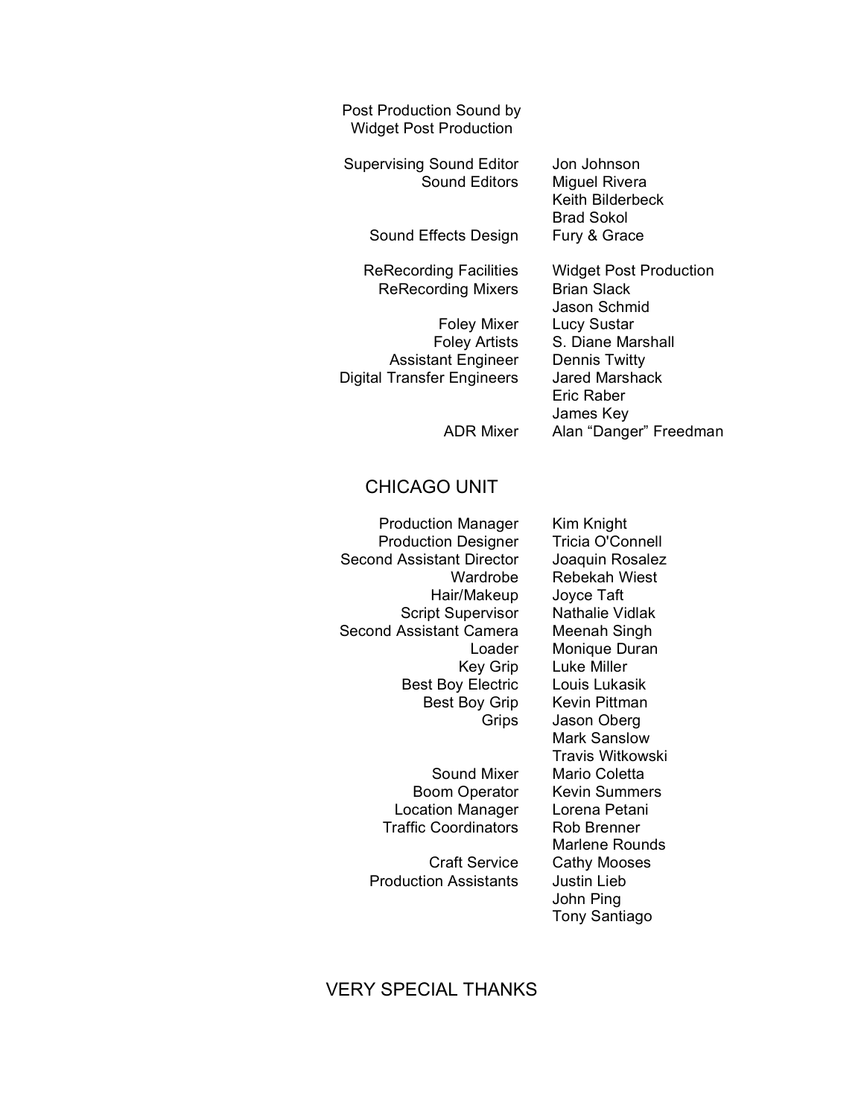Post Production Sound by Widget Post Production

Supervising Sound Editor Jon Johnson Sound Editors Miguel Rivera

Sound Effects Design Fury & Grace

ReRecording Mixers Brian Slack

Assistant Engineer Dennis Twitty Digital Transfer Engineers Jared Marshack

Keith Bilderbeck Brad Sokol

ReRecording Facilities Widget Post Production Jason Schmid Foley Mixer Lucy Sustar Foley Artists S. Diane Marshall Eric Raber James Key ADR Mixer Alan "Danger" Freedman

#### CHICAGO UNIT

Production Manager Kim Knight Production Designer Tricia O'Connell Second Assistant Director Joaquin Rosalez Hair/Makeup Joyce Taft Script Supervisor Nathalie Vidlak Second Assistant Camera Meenah Singh Best Boy Electric Louis Lukasik Best Boy Grip Kevin Pittman

> Location Manager Lorena Petani Traffic Coordinators Rob Brenner

Production Assistants Justin Lieb

Wardrobe Rebekah Wiest Loader Monique Duran Key Grip Luke Miller Grips Jason Oberg Mark Sanslow Travis Witkowski Sound Mixer Mario Coletta Boom Operator Kevin Summers Marlene Rounds Craft Service Cathy Mooses John Ping Tony Santiago

# VERY SPECIAL THANKS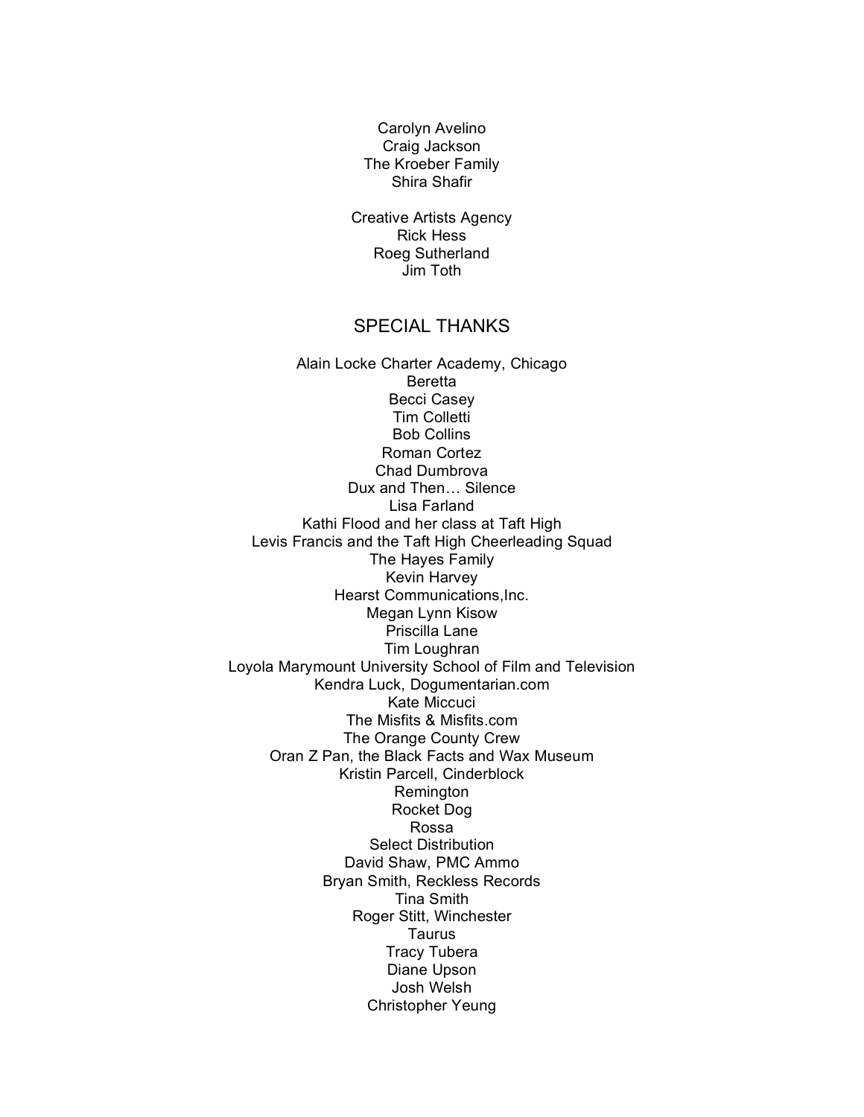Carolyn Avelino Craig Jackson The Kroeber Family Shira Shafir

Creative Artists Agency Rick Hess Roeg Sutherland Jim Toth

#### SPECIAL THANKS

Alain Locke Charter Academy, Chicago Beretta Becci Casey Tim Colletti Bob Collins Roman Cortez Chad Dumbrova Dux and Then… Silence Lisa Farland Kathi Flood and her class at Taft High Levis Francis and the Taft High Cheerleading Squad The Hayes Family Kevin Harvey Hearst Communications,Inc. Megan Lynn Kisow Priscilla Lane Tim Loughran Loyola Marymount University School of Film and Television Kendra Luck, Dogumentarian.com Kate Miccuci The Misfits & Misfits.com The Orange County Crew Oran Z Pan, the Black Facts and Wax Museum Kristin Parcell, Cinderblock Remington Rocket Dog Rossa Select Distribution David Shaw, PMC Ammo Bryan Smith, Reckless Records Tina Smith Roger Stitt, Winchester **Taurus** Tracy Tubera Diane Upson Josh Welsh Christopher Yeung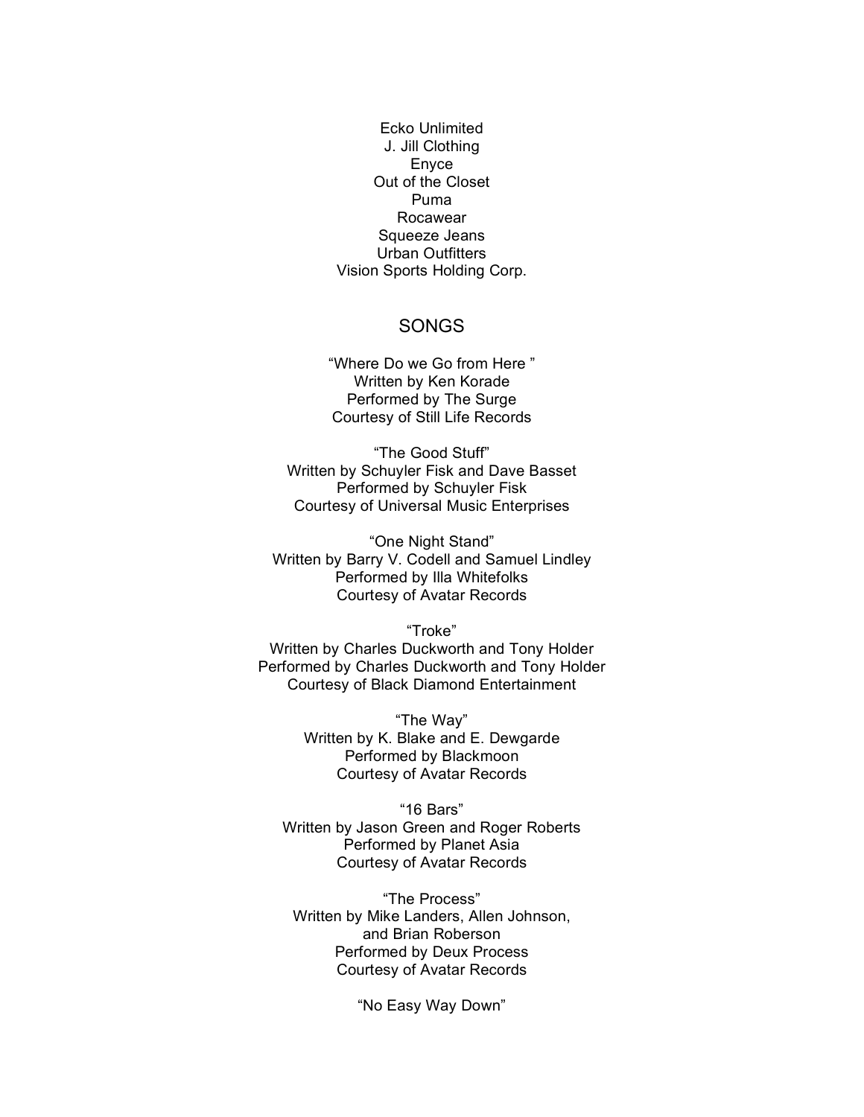Ecko Unlimited J. Jill Clothing Enyce Out of the Closet Puma Rocawear Squeeze Jeans Urban Outfitters Vision Sports Holding Corp.

#### SONGS

"Where Do we Go from Here " Written by Ken Korade Performed by The Surge Courtesy of Still Life Records

"The Good Stuff" Written by Schuyler Fisk and Dave Basset Performed by Schuyler Fisk Courtesy of Universal Music Enterprises

"One Night Stand" Written by Barry V. Codell and Samuel Lindley Performed by Illa Whitefolks Courtesy of Avatar Records

"Troke" Written by Charles Duckworth and Tony Holder Performed by Charles Duckworth and Tony Holder Courtesy of Black Diamond Entertainment

> "The Way" Written by K. Blake and E. Dewgarde Performed by Blackmoon Courtesy of Avatar Records

"16 Bars" Written by Jason Green and Roger Roberts Performed by Planet Asia Courtesy of Avatar Records

"The Process" Written by Mike Landers, Allen Johnson, and Brian Roberson Performed by Deux Process Courtesy of Avatar Records

"No Easy Way Down"